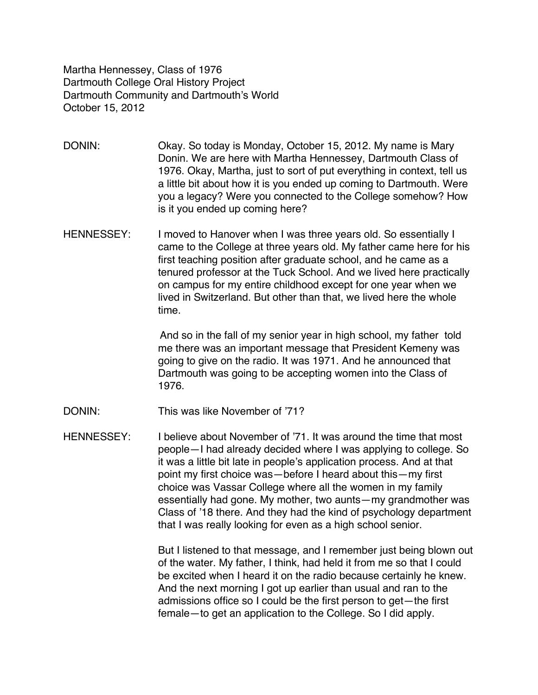Martha Hennessey, Class of 1976 Dartmouth College Oral History Project Dartmouth Community and Dartmouth's World October 15, 2012

- DONIN: Okay. So today is Monday, October 15, 2012. My name is Mary Donin. We are here with Martha Hennessey, Dartmouth Class of 1976. Okay, Martha, just to sort of put everything in context, tell us a little bit about how it is you ended up coming to Dartmouth. Were you a legacy? Were you connected to the College somehow? How is it you ended up coming here?
- HENNESSEY: I moved to Hanover when I was three years old. So essentially I came to the College at three years old. My father came here for his first teaching position after graduate school, and he came as a tenured professor at the Tuck School. And we lived here practically on campus for my entire childhood except for one year when we lived in Switzerland. But other than that, we lived here the whole time.

 And so in the fall of my senior year in high school, my father told me there was an important message that President Kemeny was going to give on the radio. It was 1971. And he announced that Dartmouth was going to be accepting women into the Class of 1976.

DONIN: This was like November of '71?

HENNESSEY: I believe about November of '71. It was around the time that most people—I had already decided where I was applying to college. So it was a little bit late in people's application process. And at that point my first choice was—before I heard about this—my first choice was Vassar College where all the women in my family essentially had gone. My mother, two aunts—my grandmother was Class of '18 there. And they had the kind of psychology department that I was really looking for even as a high school senior.

> But I listened to that message, and I remember just being blown out of the water. My father, I think, had held it from me so that I could be excited when I heard it on the radio because certainly he knew. And the next morning I got up earlier than usual and ran to the admissions office so I could be the first person to get—the first female—to get an application to the College. So I did apply.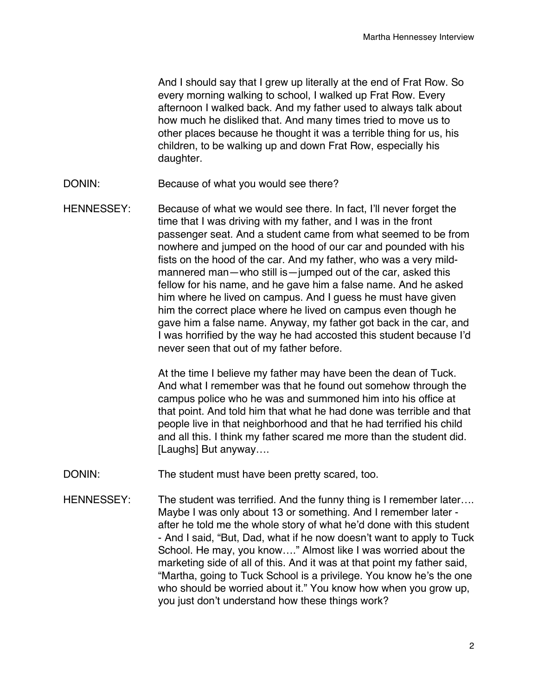And I should say that I grew up literally at the end of Frat Row. So every morning walking to school, I walked up Frat Row. Every afternoon I walked back. And my father used to always talk about how much he disliked that. And many times tried to move us to other places because he thought it was a terrible thing for us, his children, to be walking up and down Frat Row, especially his daughter.

- DONIN: Because of what you would see there?
- HENNESSEY: Because of what we would see there. In fact, I'll never forget the time that I was driving with my father, and I was in the front passenger seat. And a student came from what seemed to be from nowhere and jumped on the hood of our car and pounded with his fists on the hood of the car. And my father, who was a very mildmannered man—who still is—jumped out of the car, asked this fellow for his name, and he gave him a false name. And he asked him where he lived on campus. And I guess he must have given him the correct place where he lived on campus even though he gave him a false name. Anyway, my father got back in the car, and I was horrified by the way he had accosted this student because I'd never seen that out of my father before.

At the time I believe my father may have been the dean of Tuck. And what I remember was that he found out somehow through the campus police who he was and summoned him into his office at that point. And told him that what he had done was terrible and that people live in that neighborhood and that he had terrified his child and all this. I think my father scared me more than the student did. [Laughs] But anyway….

- DONIN: The student must have been pretty scared, too.
- HENNESSEY: The student was terrified. And the funny thing is I remember later.... Maybe I was only about 13 or something. And I remember later after he told me the whole story of what he'd done with this student - And I said, "But, Dad, what if he now doesn't want to apply to Tuck School. He may, you know…." Almost like I was worried about the marketing side of all of this. And it was at that point my father said, "Martha, going to Tuck School is a privilege. You know he's the one who should be worried about it." You know how when you grow up, you just don't understand how these things work?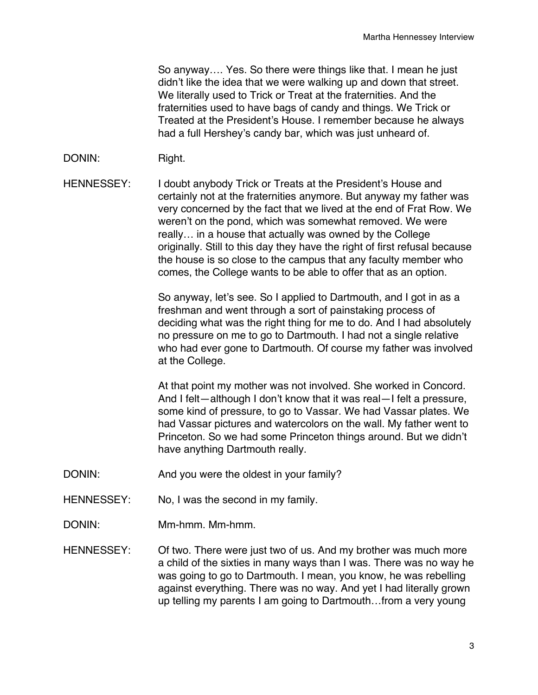So anyway…. Yes. So there were things like that. I mean he just didn't like the idea that we were walking up and down that street. We literally used to Trick or Treat at the fraternities. And the fraternities used to have bags of candy and things. We Trick or Treated at the President's House. I remember because he always had a full Hershey's candy bar, which was just unheard of.

# DONIN: Right.

HENNESSEY: I doubt anybody Trick or Treats at the President's House and certainly not at the fraternities anymore. But anyway my father was very concerned by the fact that we lived at the end of Frat Row. We weren't on the pond, which was somewhat removed. We were really… in a house that actually was owned by the College originally. Still to this day they have the right of first refusal because the house is so close to the campus that any faculty member who comes, the College wants to be able to offer that as an option.

> So anyway, let's see. So I applied to Dartmouth, and I got in as a freshman and went through a sort of painstaking process of deciding what was the right thing for me to do. And I had absolutely no pressure on me to go to Dartmouth. I had not a single relative who had ever gone to Dartmouth. Of course my father was involved at the College.

At that point my mother was not involved. She worked in Concord. And I felt—although I don't know that it was real—I felt a pressure, some kind of pressure, to go to Vassar. We had Vassar plates. We had Vassar pictures and watercolors on the wall. My father went to Princeton. So we had some Princeton things around. But we didn't have anything Dartmouth really.

- DONIN: And you were the oldest in your family?
- HENNESSEY: No, I was the second in my family.
- DONIN: Mm-hmm. Mm-hmm.

HENNESSEY: Of two. There were just two of us. And my brother was much more a child of the sixties in many ways than I was. There was no way he was going to go to Dartmouth. I mean, you know, he was rebelling against everything. There was no way. And yet I had literally grown up telling my parents I am going to Dartmouth…from a very young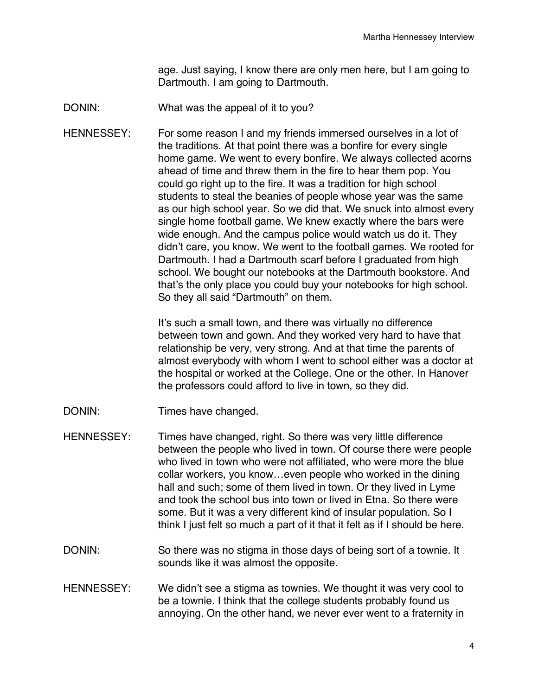age. Just saying, I know there are only men here, but I am going to Dartmouth. I am going to Dartmouth.

- DONIN: What was the appeal of it to you?
- HENNESSEY: For some reason I and my friends immersed ourselves in a lot of the traditions. At that point there was a bonfire for every single home game. We went to every bonfire. We always collected acorns ahead of time and threw them in the fire to hear them pop. You could go right up to the fire. It was a tradition for high school students to steal the beanies of people whose year was the same as our high school year. So we did that. We snuck into almost every single home football game. We knew exactly where the bars were wide enough. And the campus police would watch us do it. They didn't care, you know. We went to the football games. We rooted for Dartmouth. I had a Dartmouth scarf before I graduated from high school. We bought our notebooks at the Dartmouth bookstore. And that's the only place you could buy your notebooks for high school. So they all said "Dartmouth" on them.

It's such a small town, and there was virtually no difference between town and gown. And they worked very hard to have that relationship be very, very strong. And at that time the parents of almost everybody with whom I went to school either was a doctor at the hospital or worked at the College. One or the other. In Hanover the professors could afford to live in town, so they did.

- DONIN: Times have changed.
- HENNESSEY: Times have changed, right. So there was very little difference between the people who lived in town. Of course there were people who lived in town who were not affiliated, who were more the blue collar workers, you know…even people who worked in the dining hall and such; some of them lived in town. Or they lived in Lyme and took the school bus into town or lived in Etna. So there were some. But it was a very different kind of insular population. So I think I just felt so much a part of it that it felt as if I should be here.
- DONIN: So there was no stigma in those days of being sort of a townie. It sounds like it was almost the opposite.
- HENNESSEY: We didn't see a stigma as townies. We thought it was very cool to be a townie. I think that the college students probably found us annoying. On the other hand, we never ever went to a fraternity in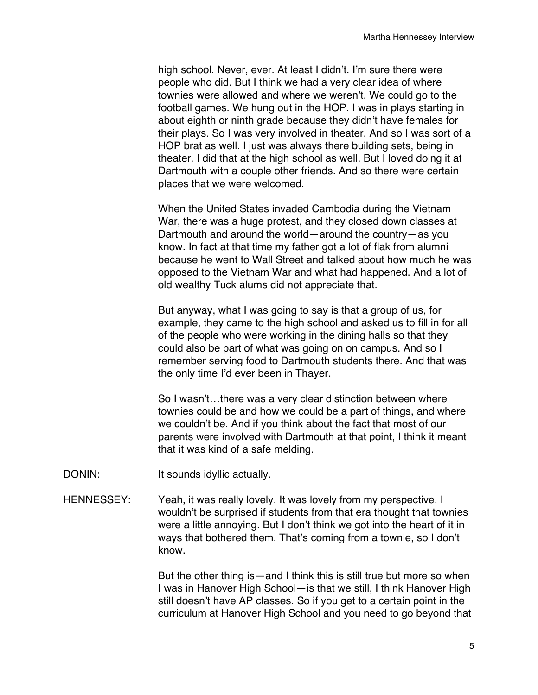high school. Never, ever. At least I didn't. I'm sure there were people who did. But I think we had a very clear idea of where townies were allowed and where we weren't. We could go to the football games. We hung out in the HOP. I was in plays starting in about eighth or ninth grade because they didn't have females for their plays. So I was very involved in theater. And so I was sort of a HOP brat as well. I just was always there building sets, being in theater. I did that at the high school as well. But I loved doing it at Dartmouth with a couple other friends. And so there were certain places that we were welcomed.

When the United States invaded Cambodia during the Vietnam War, there was a huge protest, and they closed down classes at Dartmouth and around the world—around the country—as you know. In fact at that time my father got a lot of flak from alumni because he went to Wall Street and talked about how much he was opposed to the Vietnam War and what had happened. And a lot of old wealthy Tuck alums did not appreciate that.

But anyway, what I was going to say is that a group of us, for example, they came to the high school and asked us to fill in for all of the people who were working in the dining halls so that they could also be part of what was going on on campus. And so I remember serving food to Dartmouth students there. And that was the only time I'd ever been in Thayer.

So I wasn't…there was a very clear distinction between where townies could be and how we could be a part of things, and where we couldn't be. And if you think about the fact that most of our parents were involved with Dartmouth at that point, I think it meant that it was kind of a safe melding.

- DONIN: It sounds idyllic actually.
- HENNESSEY: Yeah, it was really lovely. It was lovely from my perspective. I wouldn't be surprised if students from that era thought that townies were a little annoying. But I don't think we got into the heart of it in ways that bothered them. That's coming from a townie, so I don't know.

But the other thing is—and I think this is still true but more so when I was in Hanover High School—is that we still, I think Hanover High still doesn't have AP classes. So if you get to a certain point in the curriculum at Hanover High School and you need to go beyond that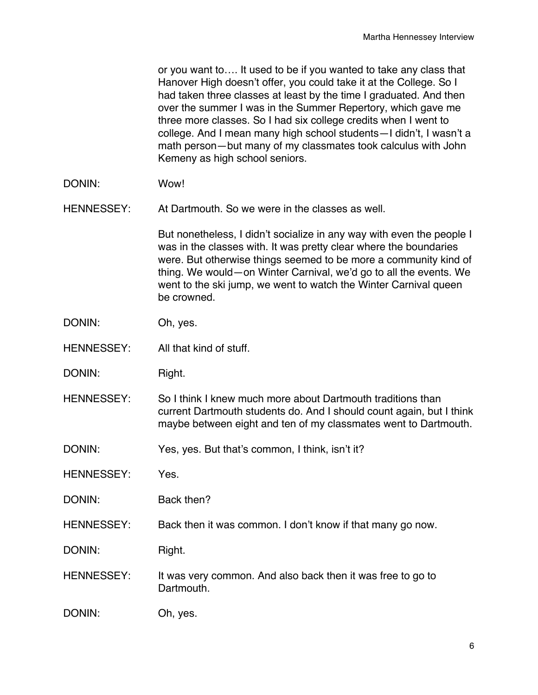or you want to…. It used to be if you wanted to take any class that Hanover High doesn't offer, you could take it at the College. So I had taken three classes at least by the time I graduated. And then over the summer I was in the Summer Repertory, which gave me three more classes. So I had six college credits when I went to college. And I mean many high school students—I didn't, I wasn't a math person—but many of my classmates took calculus with John Kemeny as high school seniors.

DONIN: Wow!

HENNESSEY: At Dartmouth. So we were in the classes as well.

But nonetheless, I didn't socialize in any way with even the people I was in the classes with. It was pretty clear where the boundaries were. But otherwise things seemed to be more a community kind of thing. We would—on Winter Carnival, we'd go to all the events. We went to the ski jump, we went to watch the Winter Carnival queen be crowned.

- DONIN: Oh, yes.
- HENNESSEY: All that kind of stuff.
- DONIN: Right.
- HENNESSEY: So I think I knew much more about Dartmouth traditions than current Dartmouth students do. And I should count again, but I think maybe between eight and ten of my classmates went to Dartmouth.
- DONIN: Yes, yes. But that's common, I think, isn't it?
- HENNESSEY: Yes.

DONIN: Back then?

HENNESSEY: Back then it was common. I don't know if that many go now.

DONIN: Right.

- HENNESSEY: It was very common. And also back then it was free to go to Dartmouth.
- DONIN: Oh, yes.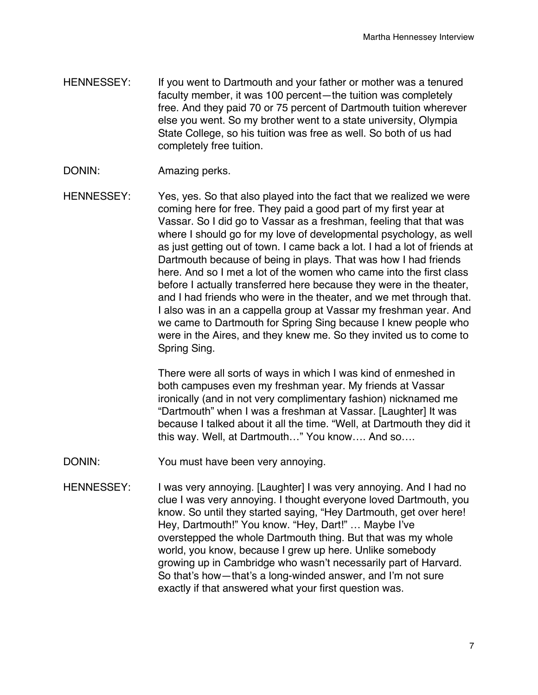- HENNESSEY: If you went to Dartmouth and your father or mother was a tenured faculty member, it was 100 percent—the tuition was completely free. And they paid 70 or 75 percent of Dartmouth tuition wherever else you went. So my brother went to a state university, Olympia State College, so his tuition was free as well. So both of us had completely free tuition.
- DONIN: Amazing perks.
- HENNESSEY: Yes, yes. So that also played into the fact that we realized we were coming here for free. They paid a good part of my first year at Vassar. So I did go to Vassar as a freshman, feeling that that was where I should go for my love of developmental psychology, as well as just getting out of town. I came back a lot. I had a lot of friends at Dartmouth because of being in plays. That was how I had friends here. And so I met a lot of the women who came into the first class before I actually transferred here because they were in the theater, and I had friends who were in the theater, and we met through that. I also was in an a cappella group at Vassar my freshman year. And we came to Dartmouth for Spring Sing because I knew people who were in the Aires, and they knew me. So they invited us to come to Spring Sing.

There were all sorts of ways in which I was kind of enmeshed in both campuses even my freshman year. My friends at Vassar ironically (and in not very complimentary fashion) nicknamed me "Dartmouth" when I was a freshman at Vassar. [Laughter] It was because I talked about it all the time. "Well, at Dartmouth they did it this way. Well, at Dartmouth…" You know…. And so….

- DONIN: You must have been very annoying.
- HENNESSEY: I was very annoying. [Laughter] I was very annoying. And I had no clue I was very annoying. I thought everyone loved Dartmouth, you know. So until they started saying, "Hey Dartmouth, get over here! Hey, Dartmouth!" You know. "Hey, Dart!" … Maybe I've overstepped the whole Dartmouth thing. But that was my whole world, you know, because I grew up here. Unlike somebody growing up in Cambridge who wasn't necessarily part of Harvard. So that's how—that's a long-winded answer, and I'm not sure exactly if that answered what your first question was.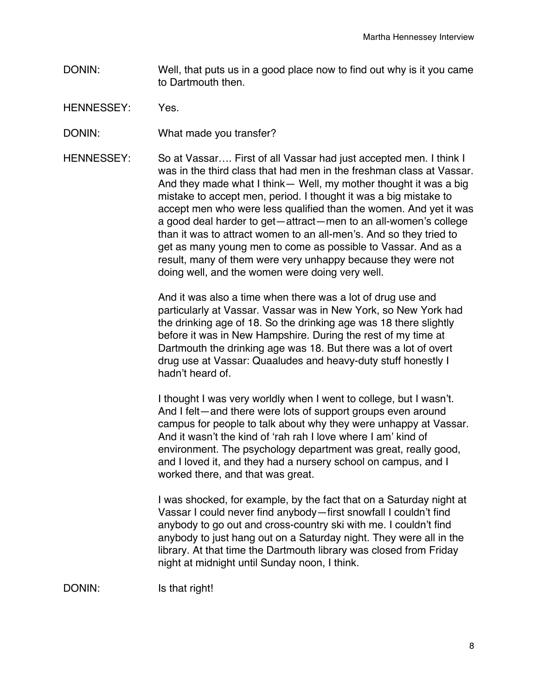- DONIN: Well, that puts us in a good place now to find out why is it you came to Dartmouth then.
- HENNESSEY: Yes.
- DONIN: What made you transfer?
- HENNESSEY: So at Vassar…. First of all Vassar had just accepted men. I think I was in the third class that had men in the freshman class at Vassar. And they made what I think— Well, my mother thought it was a big mistake to accept men, period. I thought it was a big mistake to accept men who were less qualified than the women. And yet it was a good deal harder to get—attract—men to an all-women's college than it was to attract women to an all-men's. And so they tried to get as many young men to come as possible to Vassar. And as a result, many of them were very unhappy because they were not doing well, and the women were doing very well.

And it was also a time when there was a lot of drug use and particularly at Vassar. Vassar was in New York, so New York had the drinking age of 18. So the drinking age was 18 there slightly before it was in New Hampshire. During the rest of my time at Dartmouth the drinking age was 18. But there was a lot of overt drug use at Vassar: Quaaludes and heavy-duty stuff honestly I hadn't heard of.

I thought I was very worldly when I went to college, but I wasn't. And I felt—and there were lots of support groups even around campus for people to talk about why they were unhappy at Vassar. And it wasn't the kind of ʻrah rah I love where I am' kind of environment. The psychology department was great, really good, and I loved it, and they had a nursery school on campus, and I worked there, and that was great.

I was shocked, for example, by the fact that on a Saturday night at Vassar I could never find anybody—first snowfall I couldn't find anybody to go out and cross-country ski with me. I couldn't find anybody to just hang out on a Saturday night. They were all in the library. At that time the Dartmouth library was closed from Friday night at midnight until Sunday noon, I think.

DONIN: Is that right!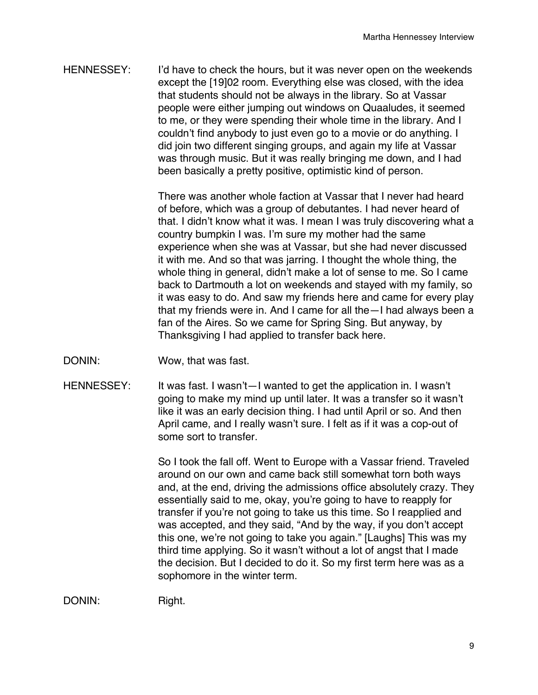HENNESSEY: I'd have to check the hours, but it was never open on the weekends except the [19]02 room. Everything else was closed, with the idea that students should not be always in the library. So at Vassar people were either jumping out windows on Quaaludes, it seemed to me, or they were spending their whole time in the library. And I couldn't find anybody to just even go to a movie or do anything. I did join two different singing groups, and again my life at Vassar was through music. But it was really bringing me down, and I had been basically a pretty positive, optimistic kind of person.

> There was another whole faction at Vassar that I never had heard of before, which was a group of debutantes. I had never heard of that. I didn't know what it was. I mean I was truly discovering what a country bumpkin I was. I'm sure my mother had the same experience when she was at Vassar, but she had never discussed it with me. And so that was jarring. I thought the whole thing, the whole thing in general, didn't make a lot of sense to me. So I came back to Dartmouth a lot on weekends and stayed with my family, so it was easy to do. And saw my friends here and came for every play that my friends were in. And I came for all the—I had always been a fan of the Aires. So we came for Spring Sing. But anyway, by Thanksgiving I had applied to transfer back here.

- DONIN: Wow, that was fast.
- HENNESSEY: It was fast. I wasn't—I wanted to get the application in. I wasn't going to make my mind up until later. It was a transfer so it wasn't like it was an early decision thing. I had until April or so. And then April came, and I really wasn't sure. I felt as if it was a cop-out of some sort to transfer.

So I took the fall off. Went to Europe with a Vassar friend. Traveled around on our own and came back still somewhat torn both ways and, at the end, driving the admissions office absolutely crazy. They essentially said to me, okay, you're going to have to reapply for transfer if you're not going to take us this time. So I reapplied and was accepted, and they said, "And by the way, if you don't accept this one, we're not going to take you again." [Laughs] This was my third time applying. So it wasn't without a lot of angst that I made the decision. But I decided to do it. So my first term here was as a sophomore in the winter term.

DONIN: Right.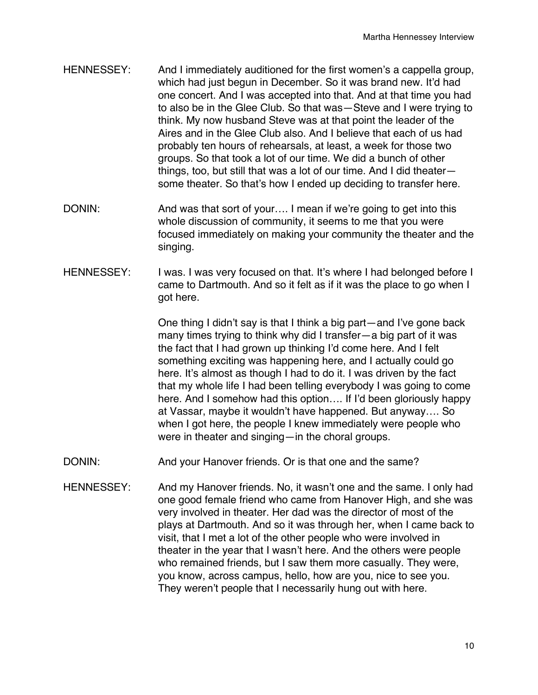- HENNESSEY: And I immediately auditioned for the first women's a cappella group, which had just begun in December. So it was brand new. It'd had one concert. And I was accepted into that. And at that time you had to also be in the Glee Club. So that was—Steve and I were trying to think. My now husband Steve was at that point the leader of the Aires and in the Glee Club also. And I believe that each of us had probably ten hours of rehearsals, at least, a week for those two groups. So that took a lot of our time. We did a bunch of other things, too, but still that was a lot of our time. And I did theater some theater. So that's how I ended up deciding to transfer here.
- DONIN: And was that sort of your.... I mean if we're going to get into this whole discussion of community, it seems to me that you were focused immediately on making your community the theater and the singing.
- HENNESSEY: I was. I was very focused on that. It's where I had belonged before I came to Dartmouth. And so it felt as if it was the place to go when I got here.

One thing I didn't say is that I think a big part—and I've gone back many times trying to think why did I transfer—a big part of it was the fact that I had grown up thinking I'd come here. And I felt something exciting was happening here, and I actually could go here. It's almost as though I had to do it. I was driven by the fact that my whole life I had been telling everybody I was going to come here. And I somehow had this option…. If I'd been gloriously happy at Vassar, maybe it wouldn't have happened. But anyway…. So when I got here, the people I knew immediately were people who were in theater and singing—in the choral groups.

- DONIN: And your Hanover friends. Or is that one and the same?
- HENNESSEY: And my Hanover friends. No, it wasn't one and the same. I only had one good female friend who came from Hanover High, and she was very involved in theater. Her dad was the director of most of the plays at Dartmouth. And so it was through her, when I came back to visit, that I met a lot of the other people who were involved in theater in the year that I wasn't here. And the others were people who remained friends, but I saw them more casually. They were, you know, across campus, hello, how are you, nice to see you. They weren't people that I necessarily hung out with here.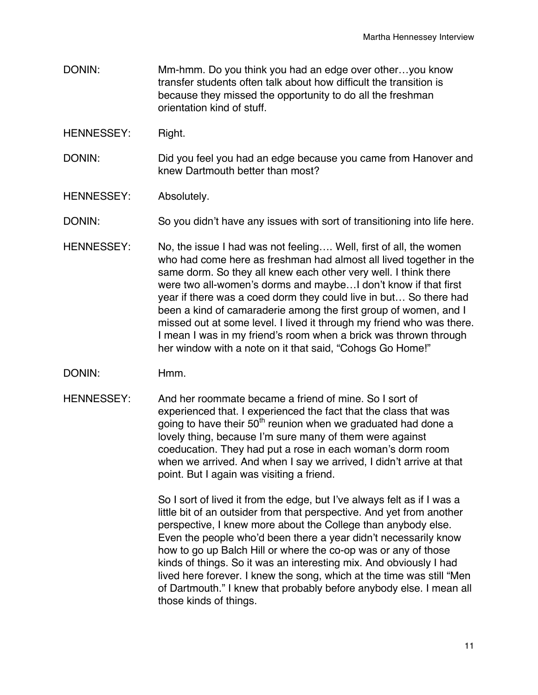- DONIN: Mm-hmm. Do you think you had an edge over other…you know transfer students often talk about how difficult the transition is because they missed the opportunity to do all the freshman orientation kind of stuff.
- HENNESSEY: Right.
- DONIN: Did you feel you had an edge because you came from Hanover and knew Dartmouth better than most?
- HENNESSEY: Absolutely.

DONIN: So you didn't have any issues with sort of transitioning into life here.

- HENNESSEY: No, the issue I had was not feeling.... Well, first of all, the women who had come here as freshman had almost all lived together in the same dorm. So they all knew each other very well. I think there were two all-women's dorms and maybe…I don't know if that first year if there was a coed dorm they could live in but… So there had been a kind of camaraderie among the first group of women, and I missed out at some level. I lived it through my friend who was there. I mean I was in my friend's room when a brick was thrown through her window with a note on it that said, "Cohogs Go Home!"
- DONIN: Hmm.
- HENNESSEY: And her roommate became a friend of mine. So I sort of experienced that. I experienced the fact that the class that was going to have their  $50<sup>th</sup>$  reunion when we graduated had done a lovely thing, because I'm sure many of them were against coeducation. They had put a rose in each woman's dorm room when we arrived. And when I say we arrived, I didn't arrive at that point. But I again was visiting a friend.

So I sort of lived it from the edge, but I've always felt as if I was a little bit of an outsider from that perspective. And yet from another perspective, I knew more about the College than anybody else. Even the people who'd been there a year didn't necessarily know how to go up Balch Hill or where the co-op was or any of those kinds of things. So it was an interesting mix. And obviously I had lived here forever. I knew the song, which at the time was still "Men of Dartmouth." I knew that probably before anybody else. I mean all those kinds of things.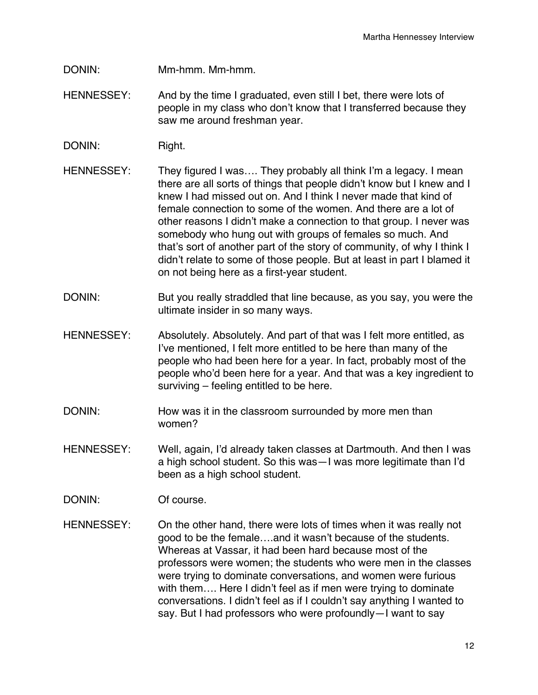- DONIN: Mm-hmm. Mm-hmm.
- HENNESSEY: And by the time I graduated, even still I bet, there were lots of people in my class who don't know that I transferred because they saw me around freshman year.
- DONIN: Right.
- HENNESSEY: They figured I was.... They probably all think I'm a legacy. I mean there are all sorts of things that people didn't know but I knew and I knew I had missed out on. And I think I never made that kind of female connection to some of the women. And there are a lot of other reasons I didn't make a connection to that group. I never was somebody who hung out with groups of females so much. And that's sort of another part of the story of community, of why I think I didn't relate to some of those people. But at least in part I blamed it on not being here as a first-year student.
- DONIN: But you really straddled that line because, as you say, you were the ultimate insider in so many ways.
- HENNESSEY: Absolutely. Absolutely. And part of that was I felt more entitled, as I've mentioned, I felt more entitled to be here than many of the people who had been here for a year. In fact, probably most of the people who'd been here for a year. And that was a key ingredient to surviving – feeling entitled to be here.
- DONIN: How was it in the classroom surrounded by more men than women?
- HENNESSEY: Well, again, I'd already taken classes at Dartmouth. And then I was a high school student. So this was—I was more legitimate than I'd been as a high school student.
- DONIN: Of course.
- HENNESSEY: On the other hand, there were lots of times when it was really not good to be the female….and it wasn't because of the students. Whereas at Vassar, it had been hard because most of the professors were women; the students who were men in the classes were trying to dominate conversations, and women were furious with them…. Here I didn't feel as if men were trying to dominate conversations. I didn't feel as if I couldn't say anything I wanted to say. But I had professors who were profoundly—I want to say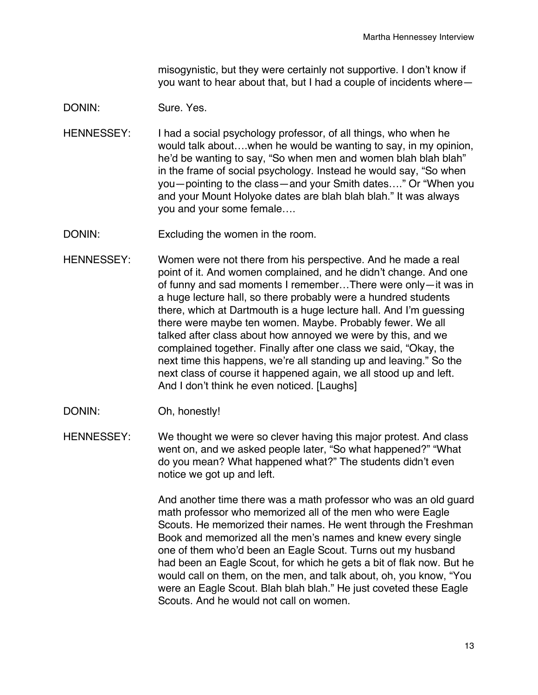misogynistic, but they were certainly not supportive. I don't know if you want to hear about that, but I had a couple of incidents where—

# DONIN: Sure. Yes.

- HENNESSEY: I had a social psychology professor, of all things, who when he would talk about….when he would be wanting to say, in my opinion, he'd be wanting to say, "So when men and women blah blah blah" in the frame of social psychology. Instead he would say, "So when you—pointing to the class—and your Smith dates…." Or "When you and your Mount Holyoke dates are blah blah blah." It was always you and your some female….
- DONIN: Excluding the women in the room.
- HENNESSEY: Women were not there from his perspective. And he made a real point of it. And women complained, and he didn't change. And one of funny and sad moments I remember…There were only—it was in a huge lecture hall, so there probably were a hundred students there, which at Dartmouth is a huge lecture hall. And I'm guessing there were maybe ten women. Maybe. Probably fewer. We all talked after class about how annoyed we were by this, and we complained together. Finally after one class we said, "Okay, the next time this happens, we're all standing up and leaving." So the next class of course it happened again, we all stood up and left. And I don't think he even noticed. [Laughs]
- DONIN: Oh, honestly!

HENNESSEY: We thought we were so clever having this major protest. And class went on, and we asked people later, "So what happened?" "What do you mean? What happened what?" The students didn't even notice we got up and left.

> And another time there was a math professor who was an old guard math professor who memorized all of the men who were Eagle Scouts. He memorized their names. He went through the Freshman Book and memorized all the men's names and knew every single one of them who'd been an Eagle Scout. Turns out my husband had been an Eagle Scout, for which he gets a bit of flak now. But he would call on them, on the men, and talk about, oh, you know, "You were an Eagle Scout. Blah blah blah." He just coveted these Eagle Scouts. And he would not call on women.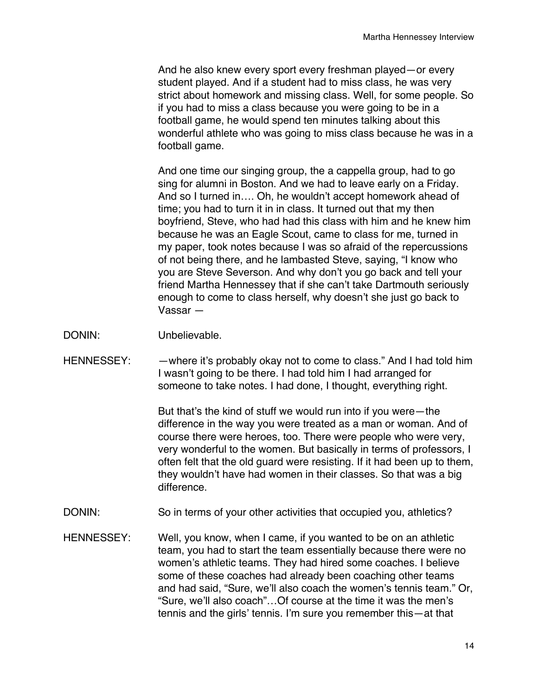And he also knew every sport every freshman played—or every student played. And if a student had to miss class, he was very strict about homework and missing class. Well, for some people. So if you had to miss a class because you were going to be in a football game, he would spend ten minutes talking about this wonderful athlete who was going to miss class because he was in a football game.

And one time our singing group, the a cappella group, had to go sing for alumni in Boston. And we had to leave early on a Friday. And so I turned in…. Oh, he wouldn't accept homework ahead of time; you had to turn it in in class. It turned out that my then boyfriend, Steve, who had had this class with him and he knew him because he was an Eagle Scout, came to class for me, turned in my paper, took notes because I was so afraid of the repercussions of not being there, and he lambasted Steve, saying, "I know who you are Steve Severson. And why don't you go back and tell your friend Martha Hennessey that if she can't take Dartmouth seriously enough to come to class herself, why doesn't she just go back to Vassar —

- DONIN: Unbelievable.
- HENNESSEY: - where it's probably okay not to come to class." And I had told him I wasn't going to be there. I had told him I had arranged for someone to take notes. I had done, I thought, everything right.

But that's the kind of stuff we would run into if you were—the difference in the way you were treated as a man or woman. And of course there were heroes, too. There were people who were very, very wonderful to the women. But basically in terms of professors, I often felt that the old guard were resisting. If it had been up to them, they wouldn't have had women in their classes. So that was a big difference.

- DONIN: So in terms of your other activities that occupied you, athletics?
- HENNESSEY: Well, you know, when I came, if you wanted to be on an athletic team, you had to start the team essentially because there were no women's athletic teams. They had hired some coaches. I believe some of these coaches had already been coaching other teams and had said, "Sure, we'll also coach the women's tennis team." Or, "Sure, we'll also coach"…Of course at the time it was the men's tennis and the girls' tennis. I'm sure you remember this—at that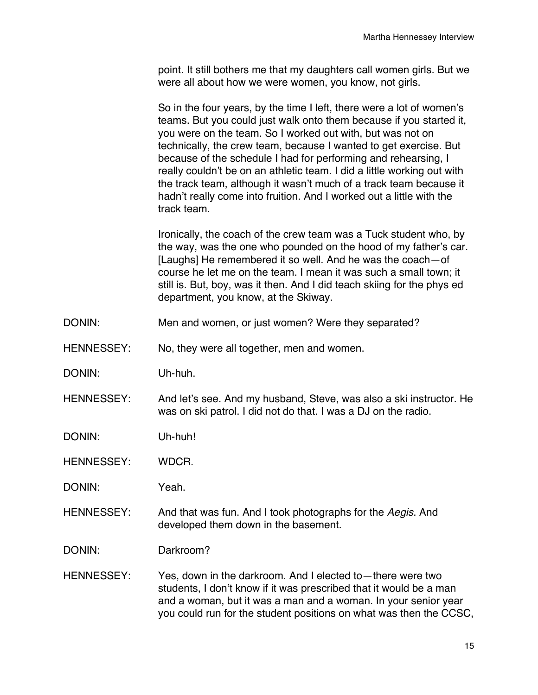point. It still bothers me that my daughters call women girls. But we were all about how we were women, you know, not girls.

So in the four years, by the time I left, there were a lot of women's teams. But you could just walk onto them because if you started it, you were on the team. So I worked out with, but was not on technically, the crew team, because I wanted to get exercise. But because of the schedule I had for performing and rehearsing, I really couldn't be on an athletic team. I did a little working out with the track team, although it wasn't much of a track team because it hadn't really come into fruition. And I worked out a little with the track team.

Ironically, the coach of the crew team was a Tuck student who, by the way, was the one who pounded on the hood of my father's car. [Laughs] He remembered it so well. And he was the coach—of course he let me on the team. I mean it was such a small town; it still is. But, boy, was it then. And I did teach skiing for the phys ed department, you know, at the Skiway.

- DONIN: Men and women, or just women? Were they separated?
- HENNESSEY: No, they were all together, men and women.
- DONIN: Uh-huh.
- HENNESSEY: And let's see. And my husband, Steve, was also a ski instructor. He was on ski patrol. I did not do that. I was a DJ on the radio.
- DONIN: Uh-huh!
- HENNESSEY: WDCR.

DONIN: Yeah.

- HENNESSEY: And that was fun. And I took photographs for the *Aegis*. And developed them down in the basement.
- DONIN: Darkroom?
- HENNESSEY: Yes, down in the darkroom. And I elected to—there were two students, I don't know if it was prescribed that it would be a man and a woman, but it was a man and a woman. In your senior year you could run for the student positions on what was then the CCSC,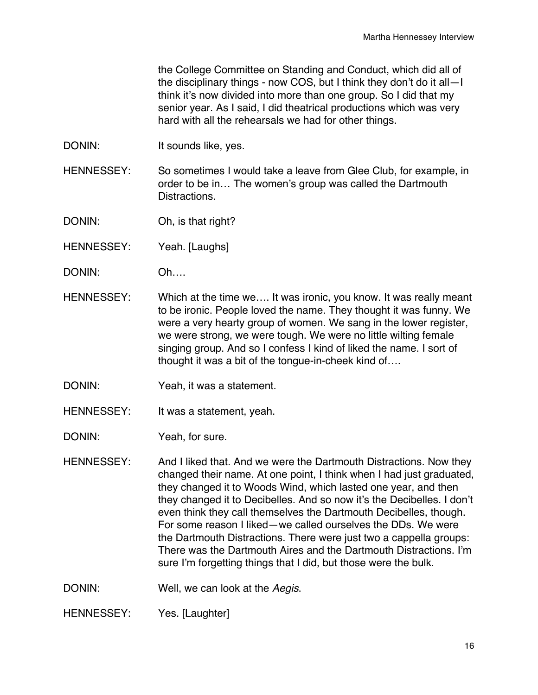the College Committee on Standing and Conduct, which did all of the disciplinary things - now COS, but I think they don't do it all—I think it's now divided into more than one group. So I did that my senior year. As I said, I did theatrical productions which was very hard with all the rehearsals we had for other things.

DONIN: It sounds like, yes.

HENNESSEY: So sometimes I would take a leave from Glee Club, for example, in order to be in… The women's group was called the Dartmouth Distractions.

DONIN: Oh, is that right?

HENNESSEY: Yeah. [Laughs]

- DONIN: Oh….
- HENNESSEY: Which at the time we…. It was ironic, you know. It was really meant to be ironic. People loved the name. They thought it was funny. We were a very hearty group of women. We sang in the lower register, we were strong, we were tough. We were no little wilting female singing group. And so I confess I kind of liked the name. I sort of thought it was a bit of the tongue-in-cheek kind of….
- DONIN: Yeah, it was a statement.
- HENNESSEY: It was a statement, yeah.

DONIN: Yeah, for sure.

HENNESSEY: And I liked that. And we were the Dartmouth Distractions. Now they changed their name. At one point, I think when I had just graduated, they changed it to Woods Wind, which lasted one year, and then they changed it to Decibelles. And so now it's the Decibelles. I don't even think they call themselves the Dartmouth Decibelles, though. For some reason I liked—we called ourselves the DDs. We were the Dartmouth Distractions. There were just two a cappella groups: There was the Dartmouth Aires and the Dartmouth Distractions. I'm sure I'm forgetting things that I did, but those were the bulk.

DONIN: Well, we can look at the *Aegis*.

HENNESSEY: Yes. [Laughter]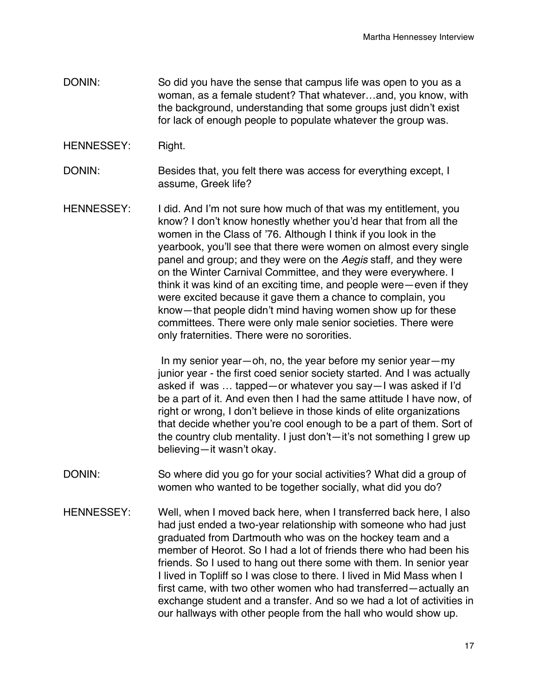- DONIN: So did you have the sense that campus life was open to you as a woman, as a female student? That whatever…and, you know, with the background, understanding that some groups just didn't exist for lack of enough people to populate whatever the group was.
- HENNESSEY: Right.

DONIN: Besides that, you felt there was access for everything except, I assume, Greek life?

HENNESSEY: I did. And I'm not sure how much of that was my entitlement, you know? I don't know honestly whether you'd hear that from all the women in the Class of '76. Although I think if you look in the yearbook, you'll see that there were women on almost every single panel and group; and they were on the *Aegis* staff*,* and they were on the Winter Carnival Committee, and they were everywhere. I think it was kind of an exciting time, and people were—even if they were excited because it gave them a chance to complain, you know—that people didn't mind having women show up for these committees. There were only male senior societies. There were only fraternities. There were no sororities.

> In my senior year—oh, no, the year before my senior year—my junior year - the first coed senior society started. And I was actually asked if was … tapped—or whatever you say—I was asked if I'd be a part of it. And even then I had the same attitude I have now, of right or wrong, I don't believe in those kinds of elite organizations that decide whether you're cool enough to be a part of them. Sort of the country club mentality. I just don't—it's not something I grew up believing—it wasn't okay.

- DONIN: So where did you go for your social activities? What did a group of women who wanted to be together socially, what did you do?
- HENNESSEY: Well, when I moved back here, when I transferred back here, I also had just ended a two-year relationship with someone who had just graduated from Dartmouth who was on the hockey team and a member of Heorot. So I had a lot of friends there who had been his friends. So I used to hang out there some with them. In senior year I lived in Topliff so I was close to there. I lived in Mid Mass when I first came, with two other women who had transferred—actually an exchange student and a transfer. And so we had a lot of activities in our hallways with other people from the hall who would show up.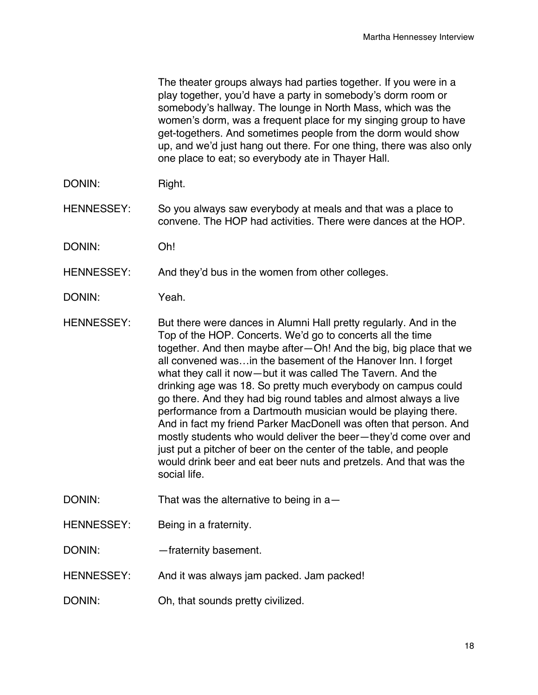The theater groups always had parties together. If you were in a play together, you'd have a party in somebody's dorm room or somebody's hallway. The lounge in North Mass, which was the women's dorm, was a frequent place for my singing group to have get-togethers. And sometimes people from the dorm would show up, and we'd just hang out there. For one thing, there was also only one place to eat; so everybody ate in Thayer Hall.

- DONIN: Right.
- HENNESSEY: So you always saw everybody at meals and that was a place to convene. The HOP had activities. There were dances at the HOP.
- DONIN: Oh!
- HENNESSEY: And they'd bus in the women from other colleges.
- DONIN: Yeah.
- HENNESSEY: But there were dances in Alumni Hall pretty regularly. And in the Top of the HOP. Concerts. We'd go to concerts all the time together. And then maybe after—Oh! And the big, big place that we all convened was…in the basement of the Hanover Inn. I forget what they call it now—but it was called The Tavern. And the drinking age was 18. So pretty much everybody on campus could go there. And they had big round tables and almost always a live performance from a Dartmouth musician would be playing there. And in fact my friend Parker MacDonell was often that person. And mostly students who would deliver the beer—they'd come over and just put a pitcher of beer on the center of the table, and people would drink beer and eat beer nuts and pretzels. And that was the social life.
- DONIN: That was the alternative to being in a-
- HENNESSEY: Being in a fraternity.
- DONIN: —fraternity basement.
- HENNESSEY: And it was always jam packed. Jam packed!
- DONIN: Oh, that sounds pretty civilized.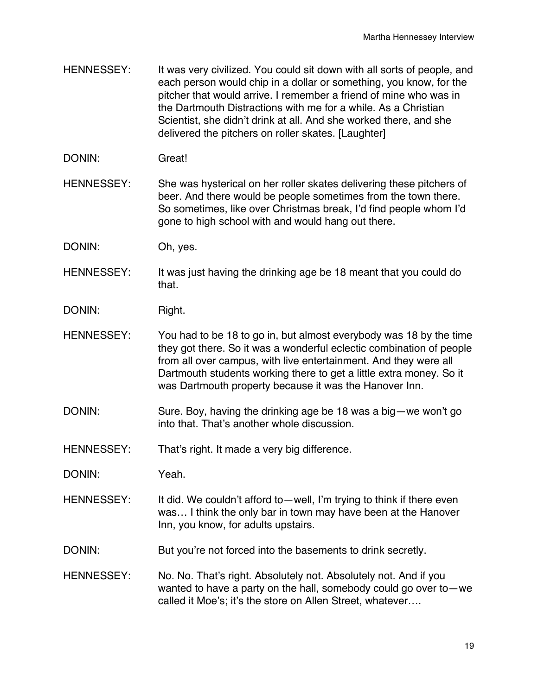- HENNESSEY: It was very civilized. You could sit down with all sorts of people, and each person would chip in a dollar or something, you know, for the pitcher that would arrive. I remember a friend of mine who was in the Dartmouth Distractions with me for a while. As a Christian Scientist, she didn't drink at all. And she worked there, and she delivered the pitchers on roller skates. [Laughter]
- DONIN: Great!
- HENNESSEY: She was hysterical on her roller skates delivering these pitchers of beer. And there would be people sometimes from the town there. So sometimes, like over Christmas break, I'd find people whom I'd gone to high school with and would hang out there.
- DONIN: Oh, yes.
- HENNESSEY: It was just having the drinking age be 18 meant that you could do that.
- DONIN: Right.
- HENNESSEY: You had to be 18 to go in, but almost everybody was 18 by the time they got there. So it was a wonderful eclectic combination of people from all over campus, with live entertainment. And they were all Dartmouth students working there to get a little extra money. So it was Dartmouth property because it was the Hanover Inn.
- DONIN: Sure. Boy, having the drinking age be 18 was a big—we won't go into that. That's another whole discussion.
- HENNESSEY: That's right. It made a very big difference.
- DONIN: Yeah.
- HENNESSEY: It did. We couldn't afford to—well, I'm trying to think if there even was… I think the only bar in town may have been at the Hanover Inn, you know, for adults upstairs.
- DONIN: But you're not forced into the basements to drink secretly.
- HENNESSEY: No. No. That's right. Absolutely not. Absolutely not. And if you wanted to have a party on the hall, somebody could go over to—we called it Moe's; it's the store on Allen Street, whatever….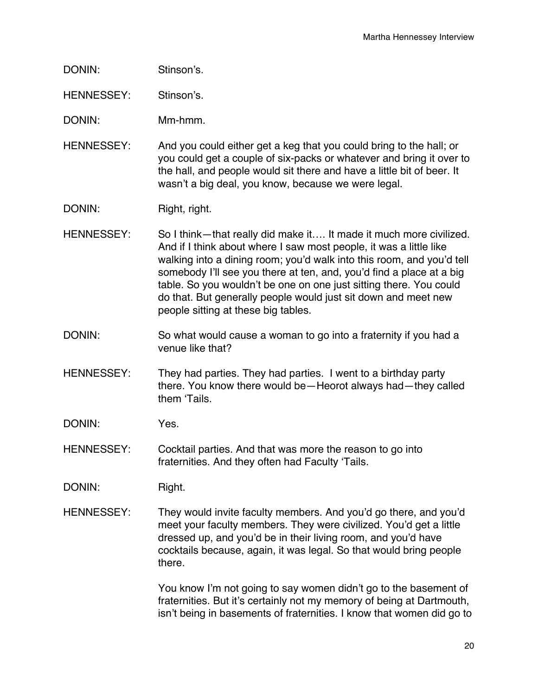- DONIN: Stinson's.
- HENNESSEY: Stinson's.

DONIN: Mm-hmm.

HENNESSEY: And you could either get a keg that you could bring to the hall; or you could get a couple of six-packs or whatever and bring it over to the hall, and people would sit there and have a little bit of beer. It wasn't a big deal, you know, because we were legal.

DONIN: Right, right.

- HENNESSEY: So I think—that really did make it…. It made it much more civilized. And if I think about where I saw most people, it was a little like walking into a dining room; you'd walk into this room, and you'd tell somebody I'll see you there at ten, and, you'd find a place at a big table. So you wouldn't be one on one just sitting there. You could do that. But generally people would just sit down and meet new people sitting at these big tables.
- DONIN: So what would cause a woman to go into a fraternity if you had a venue like that?
- HENNESSEY: They had parties. They had parties. I went to a birthday party there. You know there would be—Heorot always had—they called them ʻTails.
- DONIN: Yes.
- HENNESSEY: Cocktail parties. And that was more the reason to go into fraternities. And they often had Faculty ʻTails.
- DONIN: Right.
- HENNESSEY: They would invite faculty members. And you'd go there, and you'd meet your faculty members. They were civilized. You'd get a little dressed up, and you'd be in their living room, and you'd have cocktails because, again, it was legal. So that would bring people there.

You know I'm not going to say women didn't go to the basement of fraternities. But it's certainly not my memory of being at Dartmouth, isn't being in basements of fraternities. I know that women did go to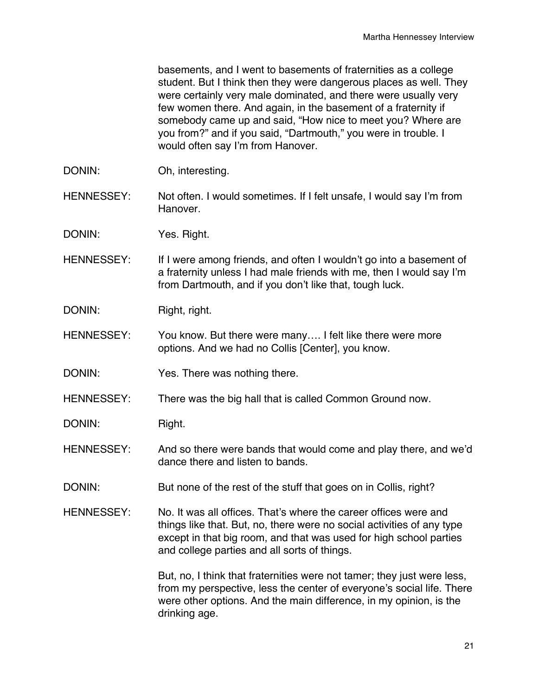basements, and I went to basements of fraternities as a college student. But I think then they were dangerous places as well. They were certainly very male dominated, and there were usually very few women there. And again, in the basement of a fraternity if somebody came up and said, "How nice to meet you? Where are you from?" and if you said, "Dartmouth," you were in trouble. I would often say I'm from Hanover.

- DONIN: Oh, interesting.
- HENNESSEY: Not often. I would sometimes. If I felt unsafe, I would say I'm from Hanover.
- DONIN: Yes. Right.
- HENNESSEY: If I were among friends, and often I wouldn't go into a basement of a fraternity unless I had male friends with me, then I would say I'm from Dartmouth, and if you don't like that, tough luck.
- DONIN: Right, right.
- HENNESSEY: You know. But there were many.... I felt like there were more options. And we had no Collis [Center], you know.
- DONIN: Yes. There was nothing there.
- HENNESSEY: There was the big hall that is called Common Ground now.
- DONIN: Right.
- HENNESSEY: And so there were bands that would come and play there, and we'd dance there and listen to bands.
- DONIN: But none of the rest of the stuff that goes on in Collis, right?
- HENNESSEY: No. It was all offices. That's where the career offices were and things like that. But, no, there were no social activities of any type except in that big room, and that was used for high school parties and college parties and all sorts of things.

But, no, I think that fraternities were not tamer; they just were less, from my perspective, less the center of everyone's social life. There were other options. And the main difference, in my opinion, is the drinking age.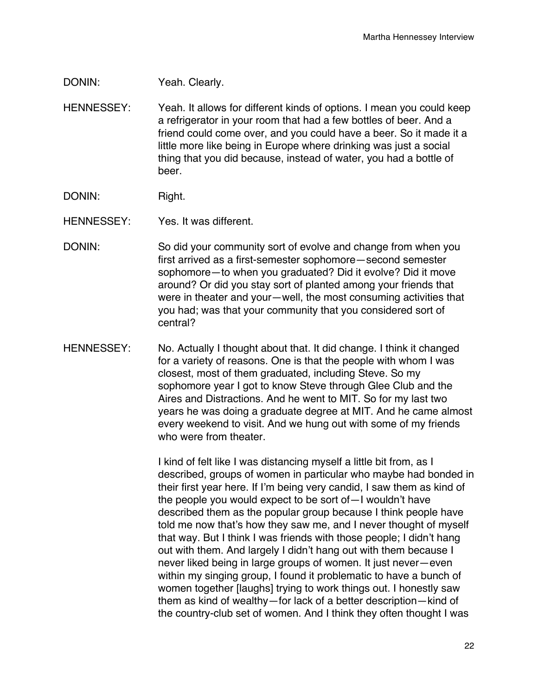## DONIN: Yeah. Clearly.

- HENNESSEY: Yeah. It allows for different kinds of options. I mean you could keep a refrigerator in your room that had a few bottles of beer. And a friend could come over, and you could have a beer. So it made it a little more like being in Europe where drinking was just a social thing that you did because, instead of water, you had a bottle of beer.
- DONIN: Right.
- HENNESSEY: Yes. It was different.
- DONIN: So did your community sort of evolve and change from when you first arrived as a first-semester sophomore—second semester sophomore—to when you graduated? Did it evolve? Did it move around? Or did you stay sort of planted among your friends that were in theater and your—well, the most consuming activities that you had; was that your community that you considered sort of central?
- HENNESSEY: No. Actually I thought about that. It did change. I think it changed for a variety of reasons. One is that the people with whom I was closest, most of them graduated, including Steve. So my sophomore year I got to know Steve through Glee Club and the Aires and Distractions. And he went to MIT. So for my last two years he was doing a graduate degree at MIT. And he came almost every weekend to visit. And we hung out with some of my friends who were from theater.

I kind of felt like I was distancing myself a little bit from, as I described, groups of women in particular who maybe had bonded in their first year here. If I'm being very candid, I saw them as kind of the people you would expect to be sort of—I wouldn't have described them as the popular group because I think people have told me now that's how they saw me, and I never thought of myself that way. But I think I was friends with those people; I didn't hang out with them. And largely I didn't hang out with them because I never liked being in large groups of women. It just never—even within my singing group, I found it problematic to have a bunch of women together [laughs] trying to work things out. I honestly saw them as kind of wealthy—for lack of a better description—kind of the country-club set of women. And I think they often thought I was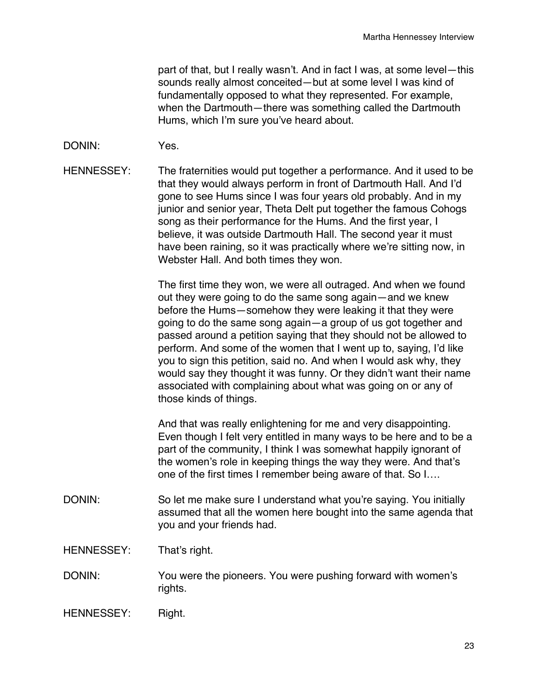part of that, but I really wasn't. And in fact I was, at some level—this sounds really almost conceited—but at some level I was kind of fundamentally opposed to what they represented. For example, when the Dartmouth—there was something called the Dartmouth Hums, which I'm sure you've heard about.

- DONIN: Yes.
- HENNESSEY: The fraternities would put together a performance. And it used to be that they would always perform in front of Dartmouth Hall. And I'd gone to see Hums since I was four years old probably. And in my junior and senior year, Theta Delt put together the famous Cohogs song as their performance for the Hums. And the first year, I believe, it was outside Dartmouth Hall. The second year it must have been raining, so it was practically where we're sitting now, in Webster Hall. And both times they won.

The first time they won, we were all outraged. And when we found out they were going to do the same song again—and we knew before the Hums—somehow they were leaking it that they were going to do the same song again—a group of us got together and passed around a petition saying that they should not be allowed to perform. And some of the women that I went up to, saying, I'd like you to sign this petition, said no. And when I would ask why, they would say they thought it was funny. Or they didn't want their name associated with complaining about what was going on or any of those kinds of things.

And that was really enlightening for me and very disappointing. Even though I felt very entitled in many ways to be here and to be a part of the community, I think I was somewhat happily ignorant of the women's role in keeping things the way they were. And that's one of the first times I remember being aware of that. So I….

- DONIN: So let me make sure I understand what you're saying. You initially assumed that all the women here bought into the same agenda that you and your friends had.
- HENNESSEY: That's right.
- DONIN: You were the pioneers. You were pushing forward with women's rights.
- HENNESSEY: Right.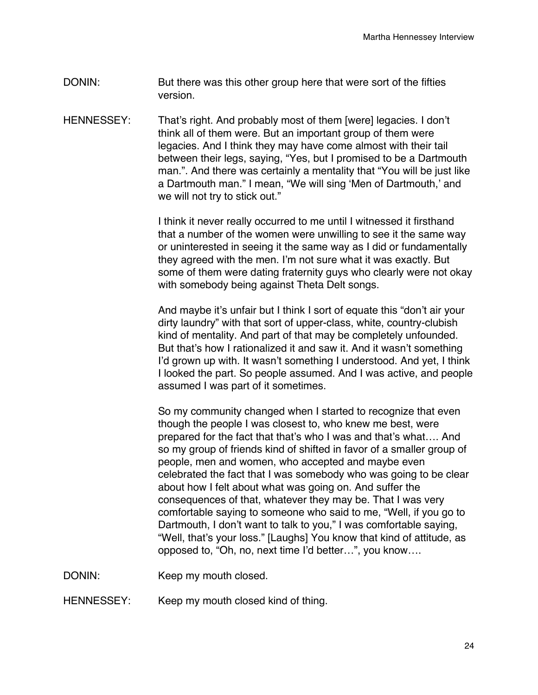- DONIN: But there was this other group here that were sort of the fifties version.
- HENNESSEY: That's right. And probably most of them [were] legacies. I don't think all of them were. But an important group of them were legacies. And I think they may have come almost with their tail between their legs, saying, "Yes, but I promised to be a Dartmouth man.". And there was certainly a mentality that "You will be just like a Dartmouth man." I mean, "We will sing ʻMen of Dartmouth,' and we will not try to stick out."

I think it never really occurred to me until I witnessed it firsthand that a number of the women were unwilling to see it the same way or uninterested in seeing it the same way as I did or fundamentally they agreed with the men. I'm not sure what it was exactly. But some of them were dating fraternity guys who clearly were not okay with somebody being against Theta Delt songs.

And maybe it's unfair but I think I sort of equate this "don't air your dirty laundry" with that sort of upper-class, white, country-clubish kind of mentality. And part of that may be completely unfounded. But that's how I rationalized it and saw it. And it wasn't something I'd grown up with. It wasn't something I understood. And yet, I think I looked the part. So people assumed. And I was active, and people assumed I was part of it sometimes.

So my community changed when I started to recognize that even though the people I was closest to, who knew me best, were prepared for the fact that that's who I was and that's what…. And so my group of friends kind of shifted in favor of a smaller group of people, men and women, who accepted and maybe even celebrated the fact that I was somebody who was going to be clear about how I felt about what was going on. And suffer the consequences of that, whatever they may be. That I was very comfortable saying to someone who said to me, "Well, if you go to Dartmouth, I don't want to talk to you," I was comfortable saying, "Well, that's your loss." [Laughs] You know that kind of attitude, as opposed to, "Oh, no, next time I'd better…", you know….

DONIN: Keep my mouth closed.

HENNESSEY: Keep my mouth closed kind of thing.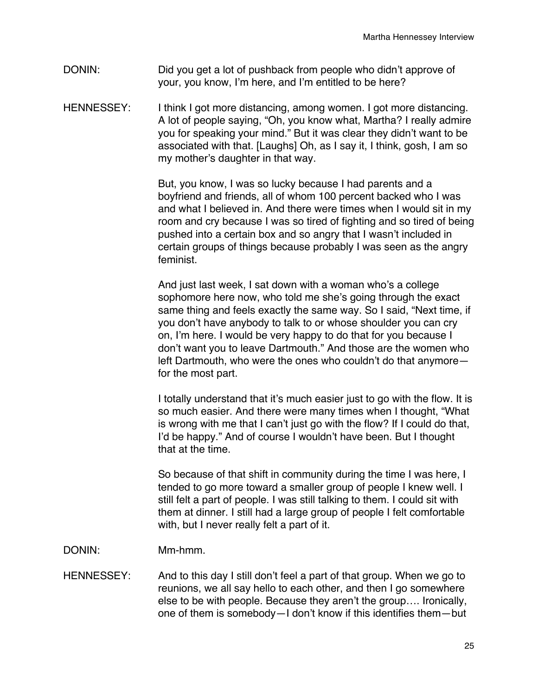- DONIN: Did you get a lot of pushback from people who didn't approve of your, you know, I'm here, and I'm entitled to be here?
- HENNESSEY: I think I got more distancing, among women. I got more distancing. A lot of people saying, "Oh, you know what, Martha? I really admire you for speaking your mind." But it was clear they didn't want to be associated with that. [Laughs] Oh, as I say it, I think, gosh, I am so my mother's daughter in that way.

But, you know, I was so lucky because I had parents and a boyfriend and friends, all of whom 100 percent backed who I was and what I believed in. And there were times when I would sit in my room and cry because I was so tired of fighting and so tired of being pushed into a certain box and so angry that I wasn't included in certain groups of things because probably I was seen as the angry feminist.

And just last week, I sat down with a woman who's a college sophomore here now, who told me she's going through the exact same thing and feels exactly the same way. So I said, "Next time, if you don't have anybody to talk to or whose shoulder you can cry on, I'm here. I would be very happy to do that for you because I don't want you to leave Dartmouth." And those are the women who left Dartmouth, who were the ones who couldn't do that anymore for the most part.

I totally understand that it's much easier just to go with the flow. It is so much easier. And there were many times when I thought, "What is wrong with me that I can't just go with the flow? If I could do that, I'd be happy." And of course I wouldn't have been. But I thought that at the time.

So because of that shift in community during the time I was here, I tended to go more toward a smaller group of people I knew well. I still felt a part of people. I was still talking to them. I could sit with them at dinner. I still had a large group of people I felt comfortable with, but I never really felt a part of it.

- DONIN: Mm-hmm.
- HENNESSEY: And to this day I still don't feel a part of that group. When we go to reunions, we all say hello to each other, and then I go somewhere else to be with people. Because they aren't the group…. Ironically, one of them is somebody—I don't know if this identifies them—but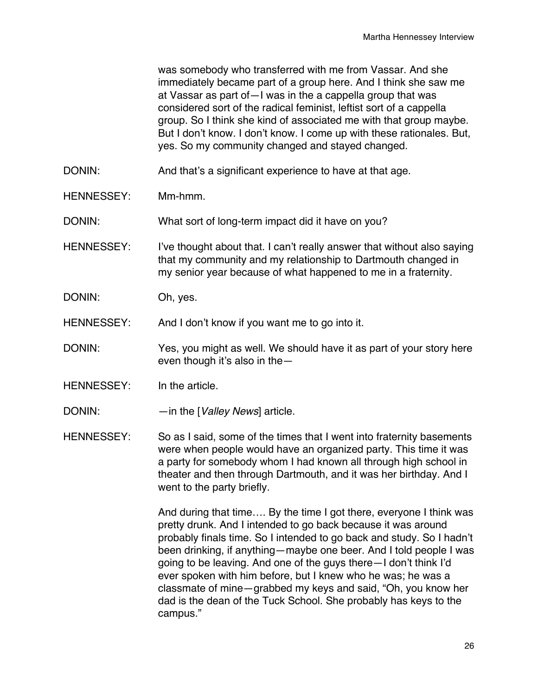was somebody who transferred with me from Vassar. And she immediately became part of a group here. And I think she saw me at Vassar as part of—I was in the a cappella group that was considered sort of the radical feminist, leftist sort of a cappella group. So I think she kind of associated me with that group maybe. But I don't know. I don't know. I come up with these rationales. But, yes. So my community changed and stayed changed.

- DONIN: And that's a significant experience to have at that age.
- HENNESSEY: Mm-hmm.

DONIN: What sort of long-term impact did it have on you?

- HENNESSEY: I've thought about that. I can't really answer that without also saying that my community and my relationship to Dartmouth changed in my senior year because of what happened to me in a fraternity.
- DONIN: Oh, yes.

HENNESSEY: And I don't know if you want me to go into it.

- DONIN: Yes, you might as well. We should have it as part of your story here even though it's also in the—
- HENNESSEY: In the article.
- DONIN: —in the [*Valley News*] article.
- HENNESSEY: So as I said, some of the times that I went into fraternity basements were when people would have an organized party. This time it was a party for somebody whom I had known all through high school in theater and then through Dartmouth, and it was her birthday. And I went to the party briefly.

And during that time…. By the time I got there, everyone I think was pretty drunk. And I intended to go back because it was around probably finals time. So I intended to go back and study. So I hadn't been drinking, if anything—maybe one beer. And I told people I was going to be leaving. And one of the guys there—I don't think I'd ever spoken with him before, but I knew who he was; he was a classmate of mine—grabbed my keys and said, "Oh, you know her dad is the dean of the Tuck School. She probably has keys to the campus."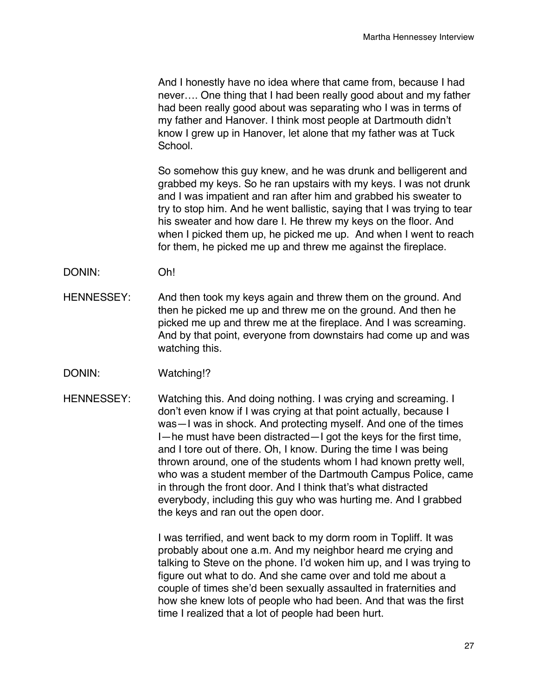And I honestly have no idea where that came from, because I had never…. One thing that I had been really good about and my father had been really good about was separating who I was in terms of my father and Hanover. I think most people at Dartmouth didn't know I grew up in Hanover, let alone that my father was at Tuck School.

So somehow this guy knew, and he was drunk and belligerent and grabbed my keys. So he ran upstairs with my keys. I was not drunk and I was impatient and ran after him and grabbed his sweater to try to stop him. And he went ballistic, saying that I was trying to tear his sweater and how dare I. He threw my keys on the floor. And when I picked them up, he picked me up. And when I went to reach for them, he picked me up and threw me against the fireplace.

- DONIN: Oh!
- HENNESSEY: And then took my keys again and threw them on the ground. And then he picked me up and threw me on the ground. And then he picked me up and threw me at the fireplace. And I was screaming. And by that point, everyone from downstairs had come up and was watching this.
- DONIN: Watching!?
- HENNESSEY: Watching this. And doing nothing. I was crying and screaming. I don't even know if I was crying at that point actually, because I was—I was in shock. And protecting myself. And one of the times I—he must have been distracted—I got the keys for the first time, and I tore out of there. Oh, I know. During the time I was being thrown around, one of the students whom I had known pretty well, who was a student member of the Dartmouth Campus Police, came in through the front door. And I think that's what distracted everybody, including this guy who was hurting me. And I grabbed the keys and ran out the open door.

I was terrified, and went back to my dorm room in Topliff. It was probably about one a.m. And my neighbor heard me crying and talking to Steve on the phone. I'd woken him up, and I was trying to figure out what to do. And she came over and told me about a couple of times she'd been sexually assaulted in fraternities and how she knew lots of people who had been. And that was the first time I realized that a lot of people had been hurt.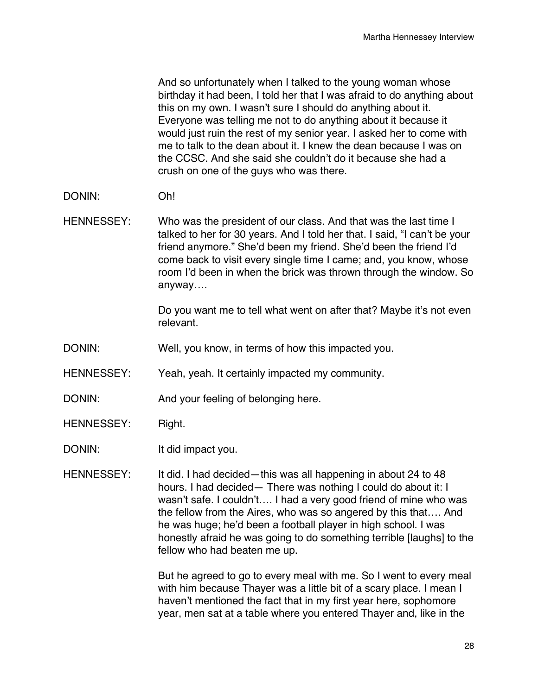And so unfortunately when I talked to the young woman whose birthday it had been, I told her that I was afraid to do anything about this on my own. I wasn't sure I should do anything about it. Everyone was telling me not to do anything about it because it would just ruin the rest of my senior year. I asked her to come with me to talk to the dean about it. I knew the dean because I was on the CCSC. And she said she couldn't do it because she had a crush on one of the guys who was there.

- DONIN: Oh!
- HENNESSEY: Who was the president of our class. And that was the last time I talked to her for 30 years. And I told her that. I said, "I can't be your friend anymore." She'd been my friend. She'd been the friend I'd come back to visit every single time I came; and, you know, whose room I'd been in when the brick was thrown through the window. So anyway….

Do you want me to tell what went on after that? Maybe it's not even relevant.

- DONIN: Well, you know, in terms of how this impacted you.
- HENNESSEY: Yeah, yeah. It certainly impacted my community.
- DONIN: And your feeling of belonging here.
- HENNESSEY: Right.
- DONIN: It did impact you.
- HENNESSEY: It did. I had decided—this was all happening in about 24 to 48 hours. I had decided— There was nothing I could do about it: I wasn't safe. I couldn't…. I had a very good friend of mine who was the fellow from the Aires, who was so angered by this that…. And he was huge; he'd been a football player in high school. I was honestly afraid he was going to do something terrible [laughs] to the fellow who had beaten me up.

But he agreed to go to every meal with me. So I went to every meal with him because Thayer was a little bit of a scary place. I mean I haven't mentioned the fact that in my first year here, sophomore year, men sat at a table where you entered Thayer and, like in the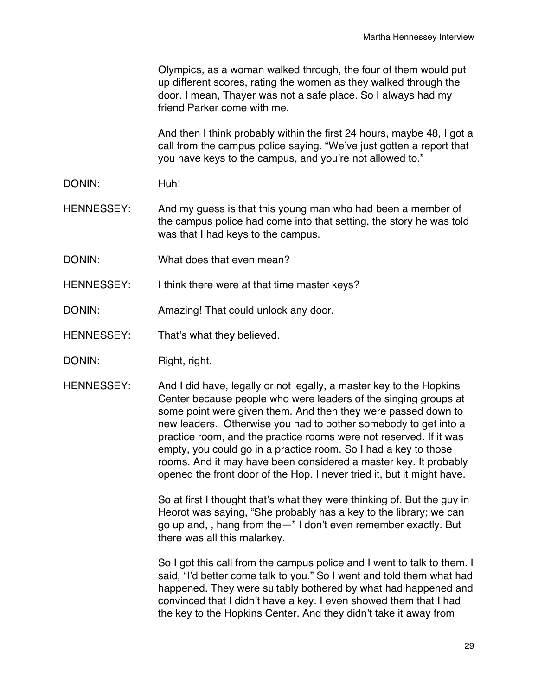Olympics, as a woman walked through, the four of them would put up different scores, rating the women as they walked through the door. I mean, Thayer was not a safe place. So I always had my friend Parker come with me.

And then I think probably within the first 24 hours, maybe 48, I got a call from the campus police saying. "We've just gotten a report that you have keys to the campus, and you're not allowed to."

DONIN: Huh!

HENNESSEY: And my quess is that this young man who had been a member of the campus police had come into that setting, the story he was told was that I had keys to the campus.

- DONIN: What does that even mean?
- HENNESSEY: I think there were at that time master keys?
- DONIN: Amazing! That could unlock any door.
- HENNESSEY: That's what they believed.
- DONIN: Right, right.
- HENNESSEY: And I did have, legally or not legally, a master key to the Hopkins Center because people who were leaders of the singing groups at some point were given them. And then they were passed down to new leaders. Otherwise you had to bother somebody to get into a practice room, and the practice rooms were not reserved. If it was empty, you could go in a practice room. So I had a key to those rooms. And it may have been considered a master key. It probably opened the front door of the Hop. I never tried it, but it might have.

So at first I thought that's what they were thinking of. But the guy in Heorot was saying, "She probably has a key to the library; we can go up and, , hang from the—" I don't even remember exactly. But there was all this malarkey.

So I got this call from the campus police and I went to talk to them. I said, "I'd better come talk to you." So I went and told them what had happened. They were suitably bothered by what had happened and convinced that I didn't have a key. I even showed them that I had the key to the Hopkins Center. And they didn't take it away from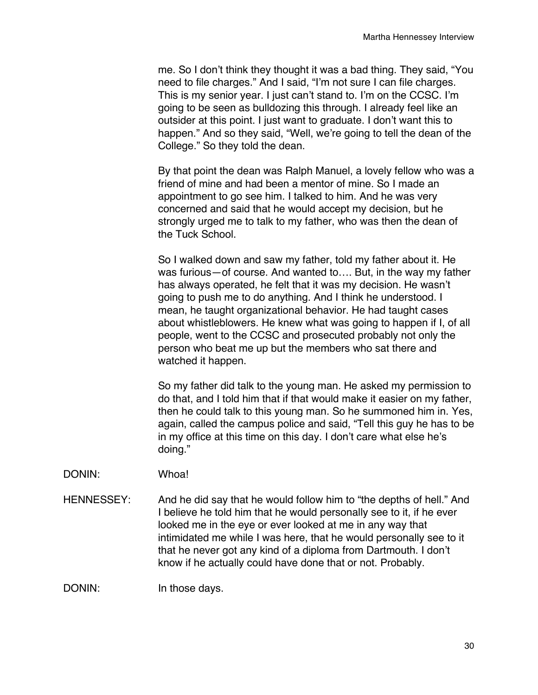me. So I don't think they thought it was a bad thing. They said, "You need to file charges." And I said, "I'm not sure I can file charges. This is my senior year. I just can't stand to. I'm on the CCSC. I'm going to be seen as bulldozing this through. I already feel like an outsider at this point. I just want to graduate. I don't want this to happen." And so they said, "Well, we're going to tell the dean of the College." So they told the dean.

By that point the dean was Ralph Manuel, a lovely fellow who was a friend of mine and had been a mentor of mine. So I made an appointment to go see him. I talked to him. And he was very concerned and said that he would accept my decision, but he strongly urged me to talk to my father, who was then the dean of the Tuck School.

So I walked down and saw my father, told my father about it. He was furious—of course. And wanted to…. But, in the way my father has always operated, he felt that it was my decision. He wasn't going to push me to do anything. And I think he understood. I mean, he taught organizational behavior. He had taught cases about whistleblowers. He knew what was going to happen if I, of all people, went to the CCSC and prosecuted probably not only the person who beat me up but the members who sat there and watched it happen.

So my father did talk to the young man. He asked my permission to do that, and I told him that if that would make it easier on my father, then he could talk to this young man. So he summoned him in. Yes, again, called the campus police and said, "Tell this guy he has to be in my office at this time on this day. I don't care what else he's doing."

#### DONIN: Whoa!

HENNESSEY: And he did say that he would follow him to "the depths of hell." And I believe he told him that he would personally see to it, if he ever looked me in the eye or ever looked at me in any way that intimidated me while I was here, that he would personally see to it that he never got any kind of a diploma from Dartmouth. I don't know if he actually could have done that or not. Probably.

DONIN: In those days.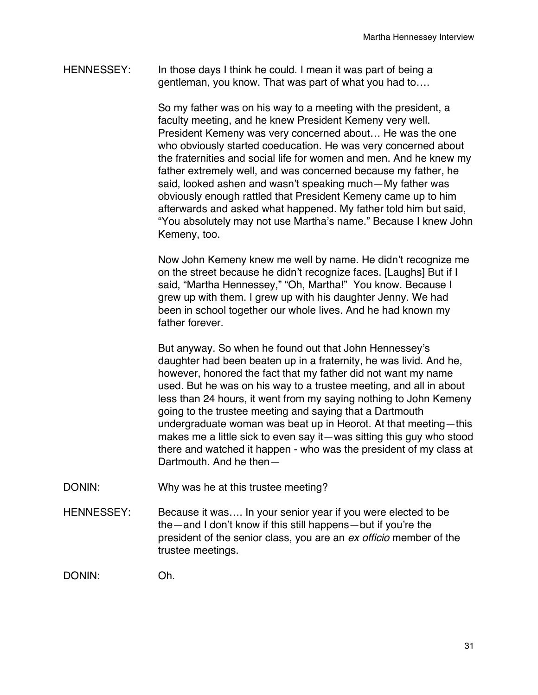HENNESSEY: In those days I think he could. I mean it was part of being a gentleman, you know. That was part of what you had to….

> So my father was on his way to a meeting with the president, a faculty meeting, and he knew President Kemeny very well. President Kemeny was very concerned about… He was the one who obviously started coeducation. He was very concerned about the fraternities and social life for women and men. And he knew my father extremely well, and was concerned because my father, he said, looked ashen and wasn't speaking much—My father was obviously enough rattled that President Kemeny came up to him afterwards and asked what happened. My father told him but said, "You absolutely may not use Martha's name." Because I knew John Kemeny, too.

Now John Kemeny knew me well by name. He didn't recognize me on the street because he didn't recognize faces. [Laughs] But if I said, "Martha Hennessey," "Oh, Martha!" You know. Because I grew up with them. I grew up with his daughter Jenny. We had been in school together our whole lives. And he had known my father forever.

But anyway. So when he found out that John Hennessey's daughter had been beaten up in a fraternity, he was livid. And he, however, honored the fact that my father did not want my name used. But he was on his way to a trustee meeting, and all in about less than 24 hours, it went from my saying nothing to John Kemeny going to the trustee meeting and saying that a Dartmouth undergraduate woman was beat up in Heorot. At that meeting—this makes me a little sick to even say it—was sitting this guy who stood there and watched it happen - who was the president of my class at Dartmouth. And he then—

- DONIN: Why was he at this trustee meeting?
- HENNESSEY: Because it was.... In your senior year if you were elected to be the—and I don't know if this still happens—but if you're the president of the senior class, you are an *ex officio* member of the trustee meetings.

DONIN: Oh.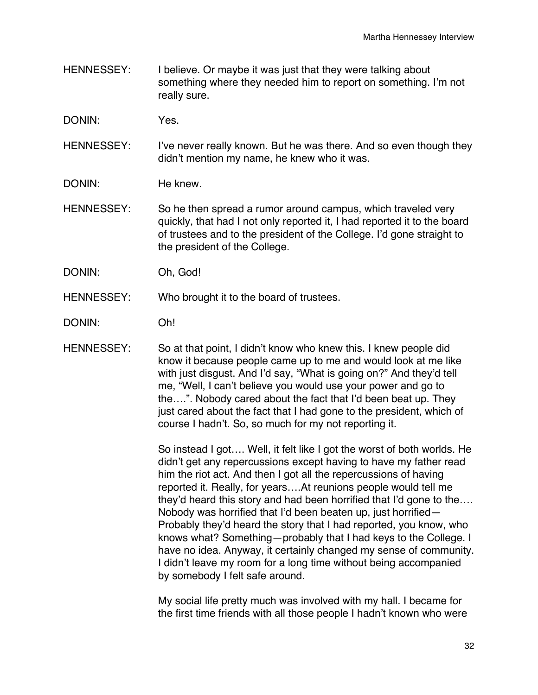- HENNESSEY: I believe. Or maybe it was just that they were talking about something where they needed him to report on something. I'm not really sure.
- DONIN: Yes.
- HENNESSEY: I've never really known. But he was there. And so even though they didn't mention my name, he knew who it was.
- DONIN: He knew
- HENNESSEY: So he then spread a rumor around campus, which traveled very quickly, that had I not only reported it, I had reported it to the board of trustees and to the president of the College. I'd gone straight to the president of the College.
- DONIN: Oh, God!
- HENNESSEY: Who brought it to the board of trustees.
- DONIN: Oh!
- HENNESSEY: So at that point, I didn't know who knew this. I knew people did know it because people came up to me and would look at me like with just disgust. And I'd say, "What is going on?" And they'd tell me, "Well, I can't believe you would use your power and go to the….". Nobody cared about the fact that I'd been beat up. They just cared about the fact that I had gone to the president, which of course I hadn't. So, so much for my not reporting it.

So instead I got…. Well, it felt like I got the worst of both worlds. He didn't get any repercussions except having to have my father read him the riot act. And then I got all the repercussions of having reported it. Really, for years….At reunions people would tell me they'd heard this story and had been horrified that I'd gone to the…. Nobody was horrified that I'd been beaten up, just horrified— Probably they'd heard the story that I had reported, you know, who knows what? Something—probably that I had keys to the College. I have no idea. Anyway, it certainly changed my sense of community. I didn't leave my room for a long time without being accompanied by somebody I felt safe around.

My social life pretty much was involved with my hall. I became for the first time friends with all those people I hadn't known who were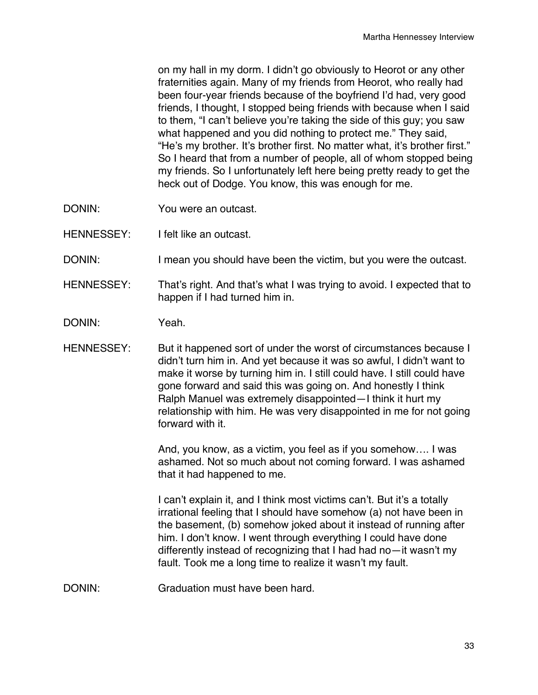on my hall in my dorm. I didn't go obviously to Heorot or any other fraternities again. Many of my friends from Heorot, who really had been four-year friends because of the boyfriend I'd had, very good friends, I thought, I stopped being friends with because when I said to them, "I can't believe you're taking the side of this guy; you saw what happened and you did nothing to protect me." They said, "He's my brother. It's brother first. No matter what, it's brother first." So I heard that from a number of people, all of whom stopped being my friends. So I unfortunately left here being pretty ready to get the heck out of Dodge. You know, this was enough for me.

- DONIN: You were an outcast.
- HENNESSEY: I felt like an outcast.
- DONIN: I mean you should have been the victim, but you were the outcast.
- HENNESSEY: That's right. And that's what I was trying to avoid. I expected that to happen if I had turned him in.
- DONIN: Yeah.

HENNESSEY: But it happened sort of under the worst of circumstances because I didn't turn him in. And yet because it was so awful, I didn't want to make it worse by turning him in. I still could have. I still could have gone forward and said this was going on. And honestly I think Ralph Manuel was extremely disappointed—I think it hurt my relationship with him. He was very disappointed in me for not going forward with it.

> And, you know, as a victim, you feel as if you somehow…. I was ashamed. Not so much about not coming forward. I was ashamed that it had happened to me.

> I can't explain it, and I think most victims can't. But it's a totally irrational feeling that I should have somehow (a) not have been in the basement, (b) somehow joked about it instead of running after him. I don't know. I went through everything I could have done differently instead of recognizing that I had had no—it wasn't my fault. Took me a long time to realize it wasn't my fault.

DONIN: Graduation must have been hard.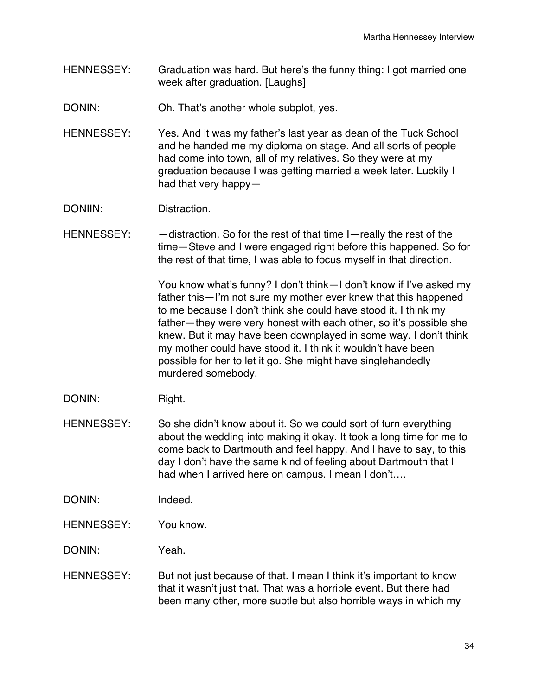- HENNESSEY: Graduation was hard. But here's the funny thing: I got married one week after graduation. [Laughs]
- DONIN: Oh. That's another whole subplot, yes.
- HENNESSEY: Yes. And it was my father's last year as dean of the Tuck School and he handed me my diploma on stage. And all sorts of people had come into town, all of my relatives. So they were at my graduation because I was getting married a week later. Luckily I had that very happy—
- DONIIN: Distraction.
- HENNESSEY:  $-$  distraction. So for the rest of that time I-really the rest of the time—Steve and I were engaged right before this happened. So for the rest of that time, I was able to focus myself in that direction.

You know what's funny? I don't think—I don't know if I've asked my father this—I'm not sure my mother ever knew that this happened to me because I don't think she could have stood it. I think my father—they were very honest with each other, so it's possible she knew. But it may have been downplayed in some way. I don't think my mother could have stood it. I think it wouldn't have been possible for her to let it go. She might have singlehandedly murdered somebody.

- DONIN: Right.
- HENNESSEY: So she didn't know about it. So we could sort of turn everything about the wedding into making it okay. It took a long time for me to come back to Dartmouth and feel happy. And I have to say, to this day I don't have the same kind of feeling about Dartmouth that I had when I arrived here on campus. I mean I don't….
- DONIN: Indeed.
- HENNESSEY: You know.
- DONIN: Yeah.
- HENNESSEY: But not just because of that. I mean I think it's important to know that it wasn't just that. That was a horrible event. But there had been many other, more subtle but also horrible ways in which my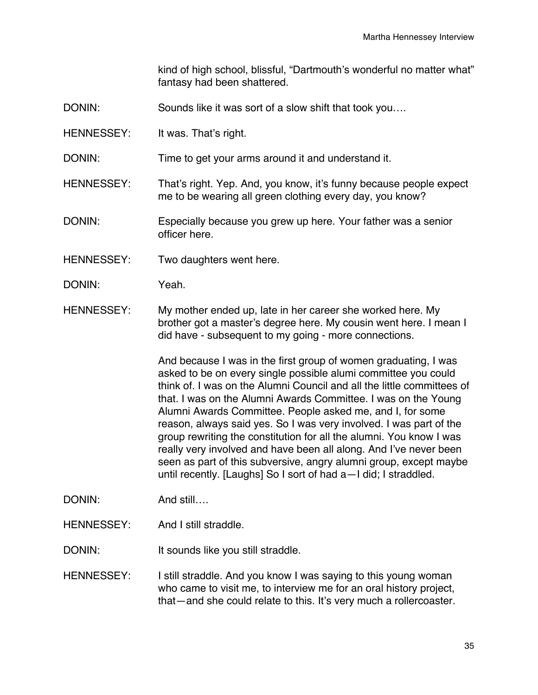kind of high school, blissful, "Dartmouth's wonderful no matter what" fantasy had been shattered.

- DONIN: Sounds like it was sort of a slow shift that took you...
- HENNESSEY: It was. That's right.
- DONIN: Time to get your arms around it and understand it.
- HENNESSEY: That's right. Yep. And, you know, it's funny because people expect me to be wearing all green clothing every day, you know?
- DONIN: Especially because you grew up here. Your father was a senior officer here.
- HENNESSEY: Two daughters went here.
- DONIN: Yeah.
- HENNESSEY: My mother ended up, late in her career she worked here. My brother got a master's degree here. My cousin went here. I mean I did have - subsequent to my going - more connections.

And because I was in the first group of women graduating, I was asked to be on every single possible alumi committee you could think of. I was on the Alumni Council and all the little committees of that. I was on the Alumni Awards Committee. I was on the Young Alumni Awards Committee. People asked me, and I, for some reason, always said yes. So I was very involved. I was part of the group rewriting the constitution for all the alumni. You know I was really very involved and have been all along. And I've never been seen as part of this subversive, angry alumni group, except maybe until recently. [Laughs] So I sort of had a—I did; I straddled.

- DONIN: And still….
- HENNESSEY: And I still straddle.

DONIN: It sounds like you still straddle.

HENNESSEY: I still straddle. And you know I was saying to this young woman who came to visit me, to interview me for an oral history project, that—and she could relate to this. It's very much a rollercoaster.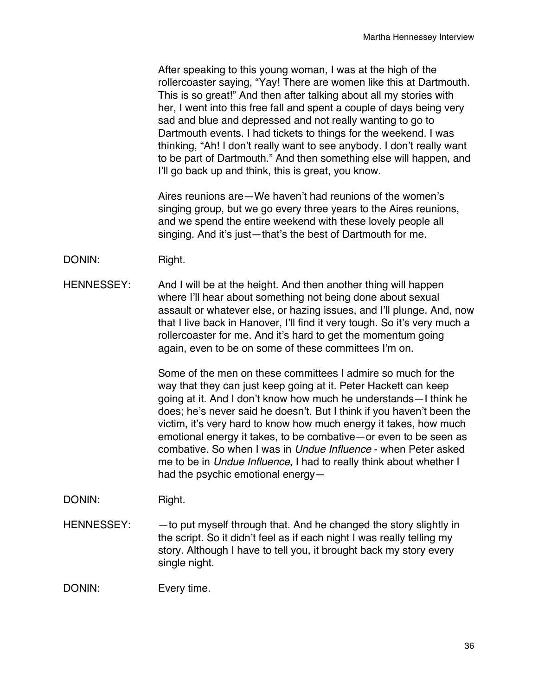After speaking to this young woman, I was at the high of the rollercoaster saying, "Yay! There are women like this at Dartmouth. This is so great!" And then after talking about all my stories with her, I went into this free fall and spent a couple of days being very sad and blue and depressed and not really wanting to go to Dartmouth events. I had tickets to things for the weekend. I was thinking, "Ah! I don't really want to see anybody. I don't really want to be part of Dartmouth." And then something else will happen, and I'll go back up and think, this is great, you know.

Aires reunions are—We haven't had reunions of the women's singing group, but we go every three years to the Aires reunions, and we spend the entire weekend with these lovely people all singing. And it's just—that's the best of Dartmouth for me.

DONIN: Right.

HENNESSEY: And I will be at the height. And then another thing will happen where I'll hear about something not being done about sexual assault or whatever else, or hazing issues, and I'll plunge. And, now that I live back in Hanover, I'll find it very tough. So it's very much a rollercoaster for me. And it's hard to get the momentum going again, even to be on some of these committees I'm on.

> Some of the men on these committees I admire so much for the way that they can just keep going at it. Peter Hackett can keep going at it. And I don't know how much he understands—I think he does; he's never said he doesn't. But I think if you haven't been the victim, it's very hard to know how much energy it takes, how much emotional energy it takes, to be combative—or even to be seen as combative. So when I was in *Undue Influence* - when Peter asked me to be in *Undue Influence*, I had to really think about whether I had the psychic emotional energy—

- DONIN: Right.
- HENNESSEY:  $-$  to put myself through that. And he changed the story slightly in the script. So it didn't feel as if each night I was really telling my story. Although I have to tell you, it brought back my story every single night.

DONIN: Every time.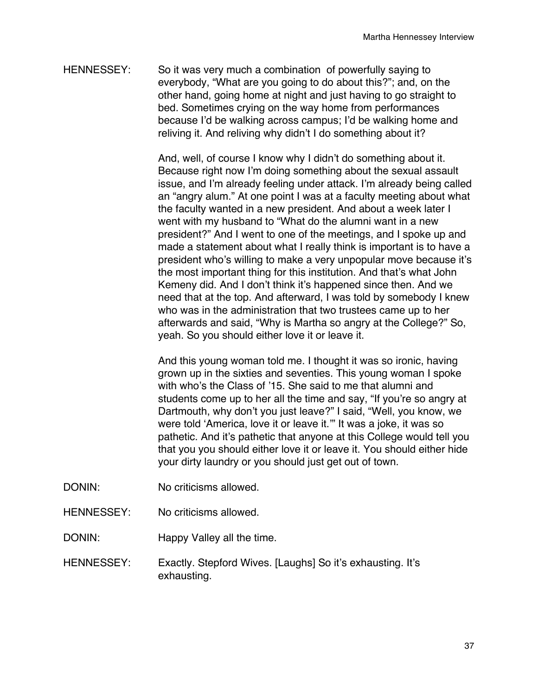HENNESSEY: So it was very much a combination of powerfully saying to everybody, "What are you going to do about this?"; and, on the other hand, going home at night and just having to go straight to bed. Sometimes crying on the way home from performances because I'd be walking across campus; I'd be walking home and reliving it. And reliving why didn't I do something about it?

> And, well, of course I know why I didn't do something about it. Because right now I'm doing something about the sexual assault issue, and I'm already feeling under attack. I'm already being called an "angry alum." At one point I was at a faculty meeting about what the faculty wanted in a new president. And about a week later I went with my husband to "What do the alumni want in a new president?" And I went to one of the meetings, and I spoke up and made a statement about what I really think is important is to have a president who's willing to make a very unpopular move because it's the most important thing for this institution. And that's what John Kemeny did. And I don't think it's happened since then. And we need that at the top. And afterward, I was told by somebody I knew who was in the administration that two trustees came up to her afterwards and said, "Why is Martha so angry at the College?" So, yeah. So you should either love it or leave it.

> And this young woman told me. I thought it was so ironic, having grown up in the sixties and seventies. This young woman I spoke with who's the Class of '15. She said to me that alumni and students come up to her all the time and say, "If you're so angry at Dartmouth, why don't you just leave?" I said, "Well, you know, we were told ʻAmerica, love it or leave it.'" It was a joke, it was so pathetic. And it's pathetic that anyone at this College would tell you that you you should either love it or leave it. You should either hide your dirty laundry or you should just get out of town.

- DONIN: No criticisms allowed.
- HENNESSEY: No criticisms allowed.
- DONIN: Happy Valley all the time.
- HENNESSEY: Exactly. Stepford Wives. [Laughs] So it's exhausting. It's exhausting.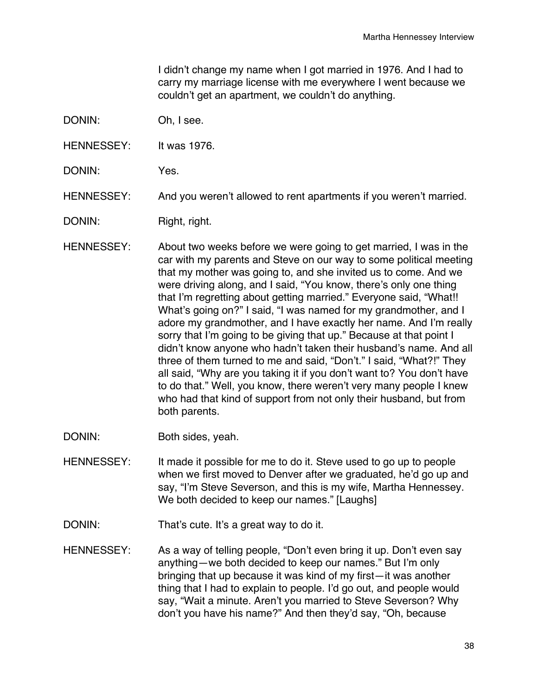I didn't change my name when I got married in 1976. And I had to carry my marriage license with me everywhere I went because we couldn't get an apartment, we couldn't do anything.

- DONIN: Oh, I see.
- HENNESSEY: It was 1976.
- DONIN: Yes.
- HENNESSEY: And you weren't allowed to rent apartments if you weren't married.
- DONIN: Right, right.
- HENNESSEY: About two weeks before we were going to get married, I was in the car with my parents and Steve on our way to some political meeting that my mother was going to, and she invited us to come. And we were driving along, and I said, "You know, there's only one thing that I'm regretting about getting married." Everyone said, "What!! What's going on?" I said, "I was named for my grandmother, and I adore my grandmother, and I have exactly her name. And I'm really sorry that I'm going to be giving that up." Because at that point I didn't know anyone who hadn't taken their husband's name. And all three of them turned to me and said, "Don't." I said, "What?!" They all said, "Why are you taking it if you don't want to? You don't have to do that." Well, you know, there weren't very many people I knew who had that kind of support from not only their husband, but from both parents.
- DONIN: Both sides, yeah.
- HENNESSEY: It made it possible for me to do it. Steve used to go up to people when we first moved to Denver after we graduated, he'd go up and say, "I'm Steve Severson, and this is my wife, Martha Hennessey. We both decided to keep our names." [Laughs]
- DONIN: That's cute. It's a great way to do it.
- HENNESSEY: As a way of telling people, "Don't even bring it up. Don't even say anything—we both decided to keep our names." But I'm only bringing that up because it was kind of my first—it was another thing that I had to explain to people. I'd go out, and people would say, "Wait a minute. Aren't you married to Steve Severson? Why don't you have his name?" And then they'd say, "Oh, because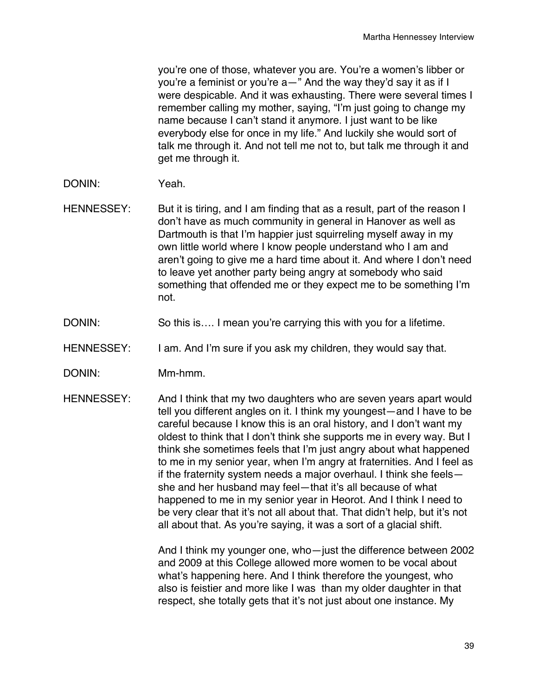you're one of those, whatever you are. You're a women's libber or you're a feminist or you're a—" And the way they'd say it as if I were despicable. And it was exhausting. There were several times I remember calling my mother, saying, "I'm just going to change my name because I can't stand it anymore. I just want to be like everybody else for once in my life." And luckily she would sort of talk me through it. And not tell me not to, but talk me through it and get me through it.

- DONIN: Yeah.
- HENNESSEY: But it is tiring, and I am finding that as a result, part of the reason I don't have as much community in general in Hanover as well as Dartmouth is that I'm happier just squirreling myself away in my own little world where I know people understand who I am and aren't going to give me a hard time about it. And where I don't need to leave yet another party being angry at somebody who said something that offended me or they expect me to be something I'm not.
- DONIN: So this is.... I mean you're carrying this with you for a lifetime.
- HENNESSEY: I am. And I'm sure if you ask my children, they would say that.
- DONIN: Mm-hmm.
- HENNESSEY: And I think that my two daughters who are seven years apart would tell you different angles on it. I think my youngest—and I have to be careful because I know this is an oral history, and I don't want my oldest to think that I don't think she supports me in every way. But I think she sometimes feels that I'm just angry about what happened to me in my senior year, when I'm angry at fraternities. And I feel as if the fraternity system needs a major overhaul. I think she feels she and her husband may feel—that it's all because of what happened to me in my senior year in Heorot. And I think I need to be very clear that it's not all about that. That didn't help, but it's not all about that. As you're saying, it was a sort of a glacial shift.

And I think my younger one, who—just the difference between 2002 and 2009 at this College allowed more women to be vocal about what's happening here. And I think therefore the youngest, who also is feistier and more like I was than my older daughter in that respect, she totally gets that it's not just about one instance. My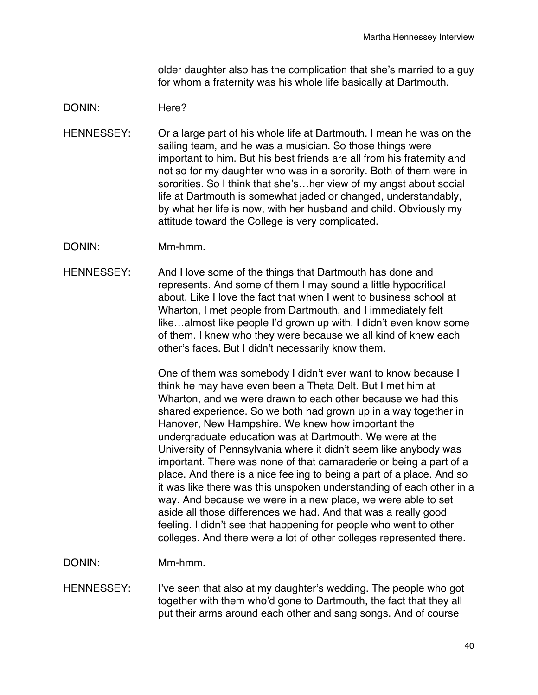older daughter also has the complication that she's married to a guy for whom a fraternity was his whole life basically at Dartmouth.

### DONIN: Here?

- HENNESSEY: Or a large part of his whole life at Dartmouth. I mean he was on the sailing team, and he was a musician. So those things were important to him. But his best friends are all from his fraternity and not so for my daughter who was in a sorority. Both of them were in sororities. So I think that she's…her view of my angst about social life at Dartmouth is somewhat jaded or changed, understandably, by what her life is now, with her husband and child. Obviously my attitude toward the College is very complicated.
- DONIN: Mm-hmm.
- HENNESSEY: And I love some of the things that Dartmouth has done and represents. And some of them I may sound a little hypocritical about. Like I love the fact that when I went to business school at Wharton, I met people from Dartmouth, and I immediately felt like…almost like people I'd grown up with. I didn't even know some of them. I knew who they were because we all kind of knew each other's faces. But I didn't necessarily know them.

One of them was somebody I didn't ever want to know because I think he may have even been a Theta Delt. But I met him at Wharton, and we were drawn to each other because we had this shared experience. So we both had grown up in a way together in Hanover, New Hampshire. We knew how important the undergraduate education was at Dartmouth. We were at the University of Pennsylvania where it didn't seem like anybody was important. There was none of that camaraderie or being a part of a place. And there is a nice feeling to being a part of a place. And so it was like there was this unspoken understanding of each other in a way. And because we were in a new place, we were able to set aside all those differences we had. And that was a really good feeling. I didn't see that happening for people who went to other colleges. And there were a lot of other colleges represented there.

DONIN: Mm-hmm.

HENNESSEY: I've seen that also at my daughter's wedding. The people who got together with them who'd gone to Dartmouth, the fact that they all put their arms around each other and sang songs. And of course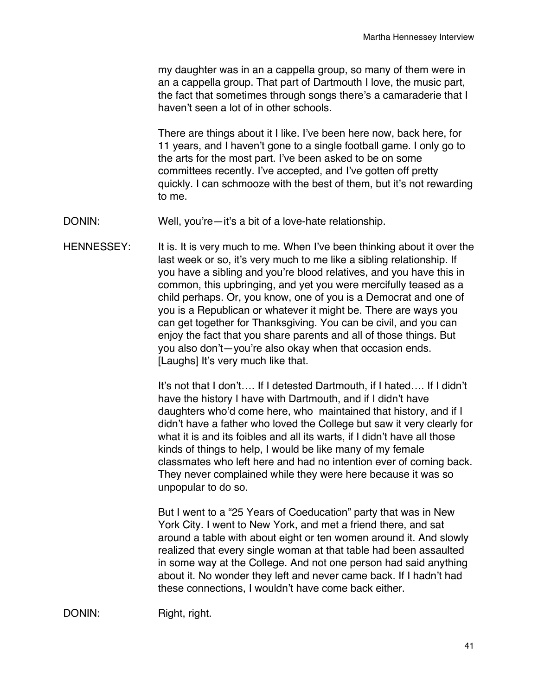my daughter was in an a cappella group, so many of them were in an a cappella group. That part of Dartmouth I love, the music part, the fact that sometimes through songs there's a camaraderie that I haven't seen a lot of in other schools.

There are things about it I like. I've been here now, back here, for 11 years, and I haven't gone to a single football game. I only go to the arts for the most part. I've been asked to be on some committees recently. I've accepted, and I've gotten off pretty quickly. I can schmooze with the best of them, but it's not rewarding to me.

DONIN: Well, you're—it's a bit of a love-hate relationship.

HENNESSEY: It is. It is very much to me. When I've been thinking about it over the last week or so, it's very much to me like a sibling relationship. If you have a sibling and you're blood relatives, and you have this in common, this upbringing, and yet you were mercifully teased as a child perhaps. Or, you know, one of you is a Democrat and one of you is a Republican or whatever it might be. There are ways you can get together for Thanksgiving. You can be civil, and you can enjoy the fact that you share parents and all of those things. But you also don't—you're also okay when that occasion ends. [Laughs] It's very much like that.

> It's not that I don't…. If I detested Dartmouth, if I hated…. If I didn't have the history I have with Dartmouth, and if I didn't have daughters who'd come here, who maintained that history, and if I didn't have a father who loved the College but saw it very clearly for what it is and its foibles and all its warts, if I didn't have all those kinds of things to help, I would be like many of my female classmates who left here and had no intention ever of coming back. They never complained while they were here because it was so unpopular to do so.

But I went to a "25 Years of Coeducation" party that was in New York City. I went to New York, and met a friend there, and sat around a table with about eight or ten women around it. And slowly realized that every single woman at that table had been assaulted in some way at the College. And not one person had said anything about it. No wonder they left and never came back. If I hadn't had these connections, I wouldn't have come back either.

DONIN: Right, right.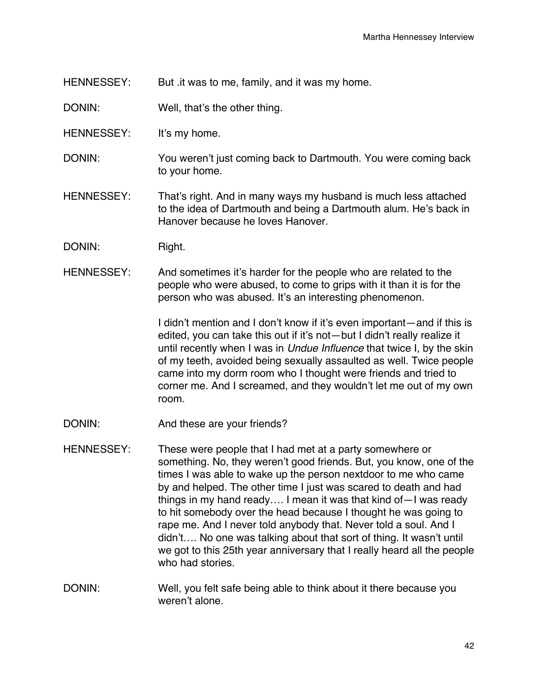HENNESSEY: But .it was to me, family, and it was my home.

DONIN: Well, that's the other thing.

- HENNESSEY: It's my home.
- DONIN: You weren't just coming back to Dartmouth. You were coming back to your home.
- HENNESSEY: That's right. And in many ways my husband is much less attached to the idea of Dartmouth and being a Dartmouth alum. He's back in Hanover because he loves Hanover.
- DONIN: Right.
- HENNESSEY: And sometimes it's harder for the people who are related to the people who were abused, to come to grips with it than it is for the person who was abused. It's an interesting phenomenon.

I didn't mention and I don't know if it's even important—and if this is edited, you can take this out if it's not—but I didn't really realize it until recently when I was in *Undue Influence* that twice I, by the skin of my teeth, avoided being sexually assaulted as well. Twice people came into my dorm room who I thought were friends and tried to corner me. And I screamed, and they wouldn't let me out of my own room.

- DONIN: And these are your friends?
- HENNESSEY: These were people that I had met at a party somewhere or something. No, they weren't good friends. But, you know, one of the times I was able to wake up the person nextdoor to me who came by and helped. The other time I just was scared to death and had things in my hand ready…. I mean it was that kind of—I was ready to hit somebody over the head because I thought he was going to rape me. And I never told anybody that. Never told a soul. And I didn't…. No one was talking about that sort of thing. It wasn't until we got to this 25th year anniversary that I really heard all the people who had stories.
- DONIN: Well, you felt safe being able to think about it there because you weren't alone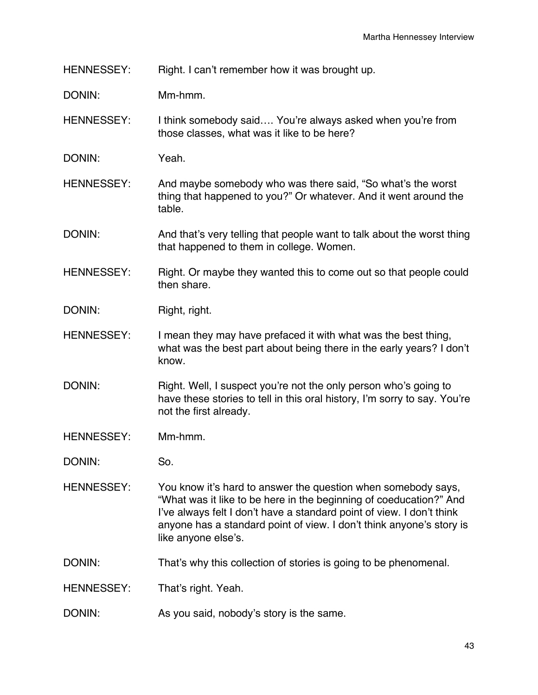HENNESSEY: Right. I can't remember how it was brought up.

DONIN: Mm-hmm.

HENNESSEY: I think somebody said.... You're always asked when you're from those classes, what was it like to be here?

DONIN: Yeah.

HENNESSEY: And maybe somebody who was there said, "So what's the worst thing that happened to you?" Or whatever. And it went around the table.

DONIN: And that's very telling that people want to talk about the worst thing that happened to them in college. Women.

HENNESSEY: Right. Or maybe they wanted this to come out so that people could then share.

DONIN: Right, right.

HENNESSEY: I mean they may have prefaced it with what was the best thing, what was the best part about being there in the early years? I don't know.

DONIN: Right. Well, I suspect you're not the only person who's going to have these stories to tell in this oral history, I'm sorry to say. You're not the first already.

- HENNESSEY: Mm-hmm.
- DONIN: So.

HENNESSEY: You know it's hard to answer the question when somebody says, "What was it like to be here in the beginning of coeducation?" And I've always felt I don't have a standard point of view. I don't think anyone has a standard point of view. I don't think anyone's story is like anyone else's.

DONIN: That's why this collection of stories is going to be phenomenal.

HENNESSEY: That's right. Yeah.

DONIN: As you said, nobody's story is the same.